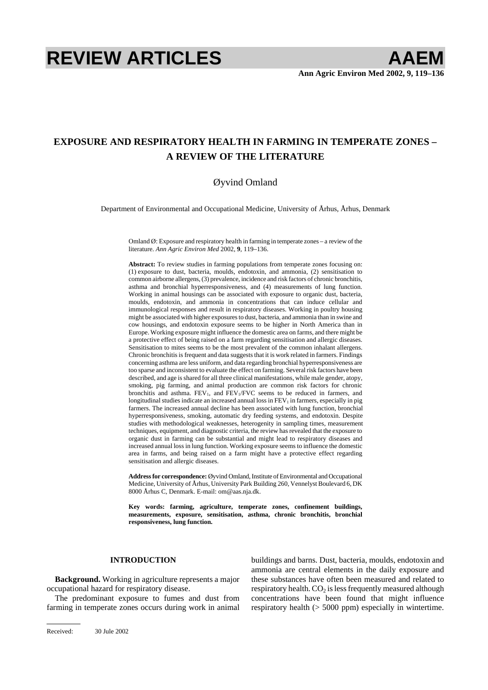# **REVIEW ARTICLES AAEM**

# **EXPOSURE AND RESPIRATORY HEALTH IN FARMING IN TEMPERATE ZONES – A REVIEW OF THE LITERATURE**

## Øyvind Omland

Department of Environmental and Occupational Medicine, University of Århus, Århus, Denmark

Omland  $\emptyset$ : Exposure and respiratory health in farming in temperate zones – a review of the literature. *Ann Agric Environ Med* 2002, **9**, 119–136.

**Abstract:** To review studies in farming populations from temperate zones focusing on: (1) exposure to dust, bacteria, moulds, endotoxin, and ammonia, (2) sensitisation to common airborne allergens, (3) prevalence, incidence and risk factors of chronic bronchitis, asthma and bronchial hyperresponsiveness, and (4) measurements of lung function. Working in animal housings can be associated with exposure to organic dust, bacteria, moulds, endotoxin, and ammonia in concentrations that can induce cellular and immunological responses and result in respiratory diseases. Working in poultry housing might be associated with higher exposures to dust, bacteria, and ammonia than in swine and cow housings, and endotoxin exposure seems to be higher in North America than in Europe. Working exposure might influence the domestic area on farms, and there might be a protective effect of being raised on a farm regarding sensitisation and allergic diseases. Sensitisation to mites seems to be the most prevalent of the common inhalant allergens. Chronic bronchitis is frequent and data suggests that it is work related in farmers. Findings concerning asthma are less uniform, and data regarding bronchial hyperresponsiveness are too sparse and inconsistent to evaluate the effect on farming. Several risk factors have been described, and age is shared for all three clinical manifestations, while male gender, atopy, smoking, pig farming, and animal production are common risk factors for chronic bronchitis and asthma.  $FEV_1$ , and  $\overline{FEV_1/FVC}$  seems to be reduced in farmers, and longitudinal studies indicate an increased annual loss in  $FEV<sub>1</sub>$  in farmers, especially in pig farmers. The increased annual decline has been associated with lung function, bronchial hyperresponsiveness, smoking, automatic dry feeding systems, and endotoxin. Despite studies with methodological weaknesses, heterogenity in sampling times, measurement techniques, equipment, and diagnostic criteria, the review has revealed that the exposure to organic dust in farming can be substantial and might lead to respiratory diseases and increased annual loss in lung function. Working exposure seems to influence the domestic area in farms, and being raised on a farm might have a protective effect regarding sensitisation and allergic diseases.

**Address for correspondence:** Øyvind Omland, Institute of Environmental and Occupational Medicine, University of Århus, University Park Building 260, Vennelyst Boulevard 6, DK 8000 Århus C, Denmark. E-mail: om@aas.nja.dk.

**Key words: farming, agriculture, temperate zones, confinement buildings, measurements, exposure, sensitisation, asthma, chronic bronchitis, bronchial responsiveness, lung function.** 

### **INTRODUCTION**

**Background.** Working in agriculture represents a major occupational hazard for respiratory disease.

The predominant exposure to fumes and dust from farming in temperate zones occurs during work in animal buildings and barns. Dust, bacteria, moulds, endotoxin and ammonia are central elements in the daily exposure and these substances have often been measured and related to respiratory health.  $CO<sub>2</sub>$  is less frequently measured although concentrations have been found that might influence respiratory health  $(> 5000 \text{ ppm})$  especially in wintertime.

Received: 30 Jule 2002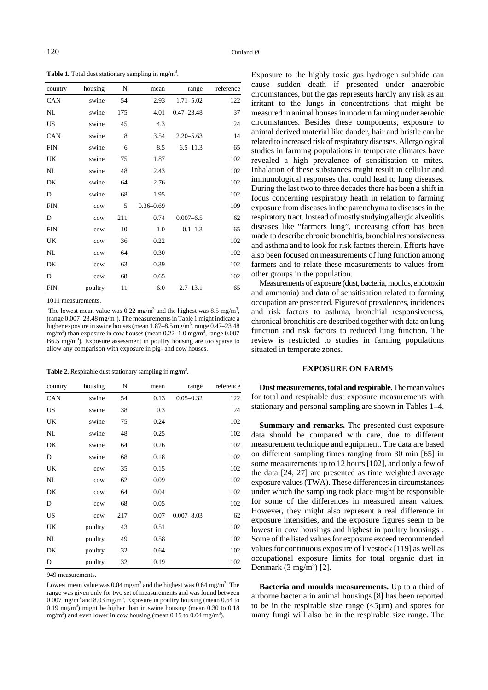Table 1. Total dust stationary sampling in mg/m<sup>3</sup>.

| country    | housing | N   | mean          | range          | reference |
|------------|---------|-----|---------------|----------------|-----------|
| CAN        | swine   | 54  | 2.93          | $1.71 - 5.02$  | 122       |
| NL         | swine   | 175 | 4.01          | $0.47 - 23.48$ | 37        |
| <b>US</b>  | swine   | 45  | 4.3           |                | 24        |
| CAN        | swine   | 8   | 3.54          | $2.20 - 5.63$  | 14        |
| <b>FIN</b> | swine   | 6   | 8.5           | $6.5 - 11.3$   | 65        |
| UK         | swine   | 75  | 1.87          |                | 102       |
| NL         | swine   | 48  | 2.43          |                | 102       |
| DK         | swine   | 64  | 2.76          |                | 102       |
| D          | swine   | 68  | 1.95          |                | 102       |
| <b>FIN</b> | cow     | 5   | $0.36 - 0.69$ |                | 109       |
| D          | cow     | 211 | 0.74          | $0.007 - 6.5$  | 62        |
| <b>FIN</b> | cow     | 10  | 1.0           | $0.1 - 1.3$    | 65        |
| UK         | cow     | 36  | 0.22          |                | 102       |
| NL         | cow     | 64  | 0.30          |                | 102       |
| DK         | cow     | 63  | 0.39          |                | 102       |
| D          | cow     | 68  | 0.65          |                | 102       |
| <b>FIN</b> | poultry | 11  | 6.0           | $2.7 - 13.1$   | 65        |

1011 measurements.

The lowest mean value was  $0.22 \text{ mg/m}^3$  and the highest was  $8.5 \text{ mg/m}^3$ , (range  $0.007 - 23.48$  mg/m<sup>3</sup>). The measurements in Table 1 might indicate a higher exposure in swine houses (mean 1.87–8.5 mg/m<sup>3</sup>, range 0.47–23.48 mg/m<sup>3</sup>) than exposure in cow houses (mean  $0.22-1.0$  mg/m<sup>3</sup>, range  $0.007$  $B6.5$  mg/m<sup>3</sup>). Exposure assessment in poultry housing are too sparse to allow any comparison with exposure in pig- and cow houses.

Table 2. Respirable dust stationary sampling in mg/m<sup>3</sup>.

| country   | housing | N   | mean | range          | reference |
|-----------|---------|-----|------|----------------|-----------|
| CAN       | swine   | 54  | 0.13 | $0.05 - 0.32$  | 122       |
| <b>US</b> | swine   | 38  | 0.3  |                | 24        |
| UK        | swine   | 75  | 0.24 |                | 102       |
| NL        | swine   | 48  | 0.25 |                | 102       |
| DK        | swine   | 64  | 0.26 |                | 102       |
| D         | swine   | 68  | 0.18 |                | 102       |
| UK        | cow     | 35  | 0.15 |                | 102       |
| NL        | cow     | 62  | 0.09 |                | 102       |
| DK        | cow     | 64  | 0.04 |                | 102       |
| D         | cow     | 68  | 0.05 |                | 102       |
| US        | cow     | 217 | 0.07 | $0.007 - 8.03$ | 62        |
| UK        | poultry | 43  | 0.51 |                | 102       |
| NL        | poultry | 49  | 0.58 |                | 102       |
| DK        | poultry | 32  | 0.64 |                | 102       |
| D         | poultry | 32  | 0.19 |                | 102       |

949 measurements.

Lowest mean value was  $0.04 \text{ mg/m}^3$  and the highest was  $0.64 \text{ mg/m}^3$ . The range was given only for two set of measurements and was found between  $0.007$  mg/m<sup>3</sup> and  $8.03$  mg/m<sup>3</sup>. Exposure in poultry housing (mean  $0.64$  to  $0.19 \text{ mg/m}^3$ ) might be higher than in swine housing (mean 0.30 to 0.18 mg/m<sup>3</sup>) and even lower in cow housing (mean 0.15 to 0.04 mg/m<sup>3</sup>).

Exposure to the highly toxic gas hydrogen sulphide can cause sudden death if presented under anaerobic circumstances, but the gas represents hardly any risk as an irritant to the lungs in concentrations that might be measured in animal houses in modern farming under aerobic circumstances. Besides these components, exposure to animal derived material like dander, hair and bristle can be related to increased risk of respiratory diseases. Allergological studies in farming populations in temperate climates have revealed a high prevalence of sensitisation to mites. Inhalation of these substances might result in cellular and immunological responses that could lead to lung diseases. During the last two to three decades there has been a shift in focus concerning respiratory heath in relation to farming exposure from diseases in the parenchyma to diseases in the respiratory tract. Instead of mostly studying allergic alveolitis diseases like "farmers lung", increasing effort has been made to describe chronic bronchitis, bronchial responsiveness and asthma and to look for risk factors therein. Efforts have also been focused on measurements of lung function among farmers and to relate these measurements to values from other groups in the population.

Measurements of exposure (dust, bacteria, moulds, endotoxin and ammonia) and data of sensitisation related to farming occupation are presented. Figures of prevalences, incidences and risk factors to asthma, bronchial responsiveness, chronical bronchitis are described together with data on lung function and risk factors to reduced lung function. The review is restricted to studies in farming populations situated in temperate zones.

#### **EXPOSURE ON FARMS**

**Dust measurements, total and respirable.** The mean values for total and respirable dust exposure measurements with stationary and personal sampling are shown in Tables 1–4.

**Summary and remarks.** The presented dust exposure data should be compared with care, due to different measurement technique and equipment. The data are based on different sampling times ranging from 30 min [65] in some measurements up to 12 hours [102], and only a few of the data [24, 27] are presented as time weighted average exposure values (TWA). These differences in circumstances under which the sampling took place might be responsible for some of the differences in measured mean values. However, they might also represent a real difference in exposure intensities, and the exposure figures seem to be lowest in cow housings and highest in poultry housings . Some of the listed values for exposure exceed recommended values for continuous exposure of livestock [119] as well as occupational exposure limits for total organic dust in Denmark  $(3 \text{ mg/m}^3)$  [2].

**Bacteria and moulds measurements.** Up to a third of airborne bacteria in animal housings [8] has been reported to be in the respirable size range  $\left( \langle 5 \mu m \rangle \right)$  and spores for many fungi will also be in the respirable size range. The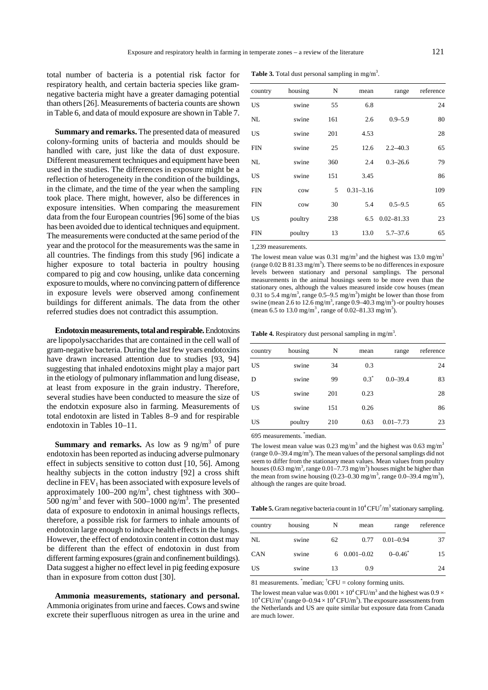total number of bacteria is a potential risk factor for respiratory health, and certain bacteria species like gramnegative bacteria might have a greater damaging potential than others [26]. Measurements of bacteria counts are shown in Table 6, and data of mould exposure are shown in Table 7.

**Summary and remarks.** The presented data of measured colony-forming units of bacteria and moulds should be handled with care, just like the data of dust exposure. Different measurement techniques and equipment have been used in the studies. The differences in exposure might be a reflection of heterogeneity in the condition of the buildings, in the climate, and the time of the year when the sampling took place. There might, however, also be differences in exposure intensities. When comparing the measurement data from the four European countries [96] some of the bias has been avoided due to identical techniques and equipment. The measurements were conducted at the same period of the year and the protocol for the measurements was the same in all countries. The findings from this study [96] indicate a higher exposure to total bacteria in poultry housing compared to pig and cow housing, unlike data concerning exposure to moulds, where no convincing pattern of difference in exposure levels were observed among confinement buildings for different animals. The data from the other referred studies does not contradict this assumption.

**Endotoxin measurements, total and respirable.** Endotoxins are lipopolysaccharides that are contained in the cell wall of gram-negative bacteria. During the last few years endotoxins have drawn increased attention due to studies [93, 94] suggesting that inhaled endotoxins might play a major part in the etiology of pulmonary inflammation and lung disease, at least from exposure in the grain industry. Therefore, several studies have been conducted to measure the size of the endotxin exposure also in farming. Measurements of total endotoxin are listed in Tables 8–9 and for respirable endotoxin in Tables 10–11.

**Summary and remarks.** As low as 9  $\text{ng/m}^3$  of pure endotoxin has been reported as inducing adverse pulmonary effect in subjects sensitive to cotton dust [10, 56]. Among healthy subjects in the cotton industry [92] a cross shift decline in  $FEV<sub>1</sub>$  has been associated with exposure levels of approximately 100–200 ng/m<sup>3</sup>, chest tightness with 300– 500 ng/m<sup>3</sup> and fever with 500–1000 ng/m<sup>3</sup>. The presented data of exposure to endotoxin in animal housings reflects, therefore, a possible risk for farmers to inhale amounts of endotoxin large enough to induce health effects in the lungs. However, the effect of endotoxin content in cotton dust may be different than the effect of endotoxin in dust from different farming exposures (grain and confinement buildings). Data suggest a higher no effect level in pig feeding exposure than in exposure from cotton dust [30].

**Ammonia measurements, stationary and personal.**  Ammonia originates from urine and faeces. Cows and swine excrete their superfluous nitrogen as urea in the urine and

**Table 3.** Total dust personal sampling in mg/m<sup>3</sup>.

| country | housing | N   | mean          | range          | reference |
|---------|---------|-----|---------------|----------------|-----------|
| US      | swine   | 55  | 6.8           |                | 24        |
| NL      | swine   | 161 | 2.6           | $0.9 - 5.9$    | 80        |
| US      | swine   | 201 | 4.53          |                | 28        |
| FIN     | swine   | 25  | 12.6          | $2.2 - 40.3$   | 65        |
| NL      | swine   | 360 | 2.4           | $0.3 - 26.6$   | 79        |
| US      | swine   | 151 | 3.45          |                | 86        |
| FIN     | cow     | 5   | $0.31 - 3.16$ |                | 109       |
| FIN     | cow     | 30  | 5.4           | $0.5 - 9.5$    | 65        |
| US      | poultry | 238 | 6.5           | $0.02 - 81.33$ | 23        |
| FIN     | poultry | 13  | 13.0          | $5.7 - 37.6$   | 65        |

1,239 measurements.

The lowest mean value was  $0.31 \text{ mg/m}^3$  and the highest was  $13.0 \text{ mg/m}^3$ (range  $0.02$  B  $81.33$  mg/m<sup>3</sup>). There seems to be no differences in exposure levels between stationary and personal samplings. The personal measurements in the animal housings seem to be more even than the stationary ones, although the values measured inside cow houses (mean 0.31 to 5.4 mg/m<sup>3</sup>, range 0.5–9.5 mg/m<sup>3</sup>) might be lower than those from swine (mean 2.6 to 12.6 mg/m<sup>3</sup>, range 0.9–40.3 mg/m<sup>3</sup>) -or poultry houses (mean 6.5 to 13.0 mg/m<sup>3</sup>, range of 0.02–81.33 mg/m<sup>3</sup>).

**Table 4.** Respiratory dust personal sampling in mg/m<sup>3</sup>.

| country   | housing | N   | mean    | range         | reference |
|-----------|---------|-----|---------|---------------|-----------|
| US        | swine   | 34  | 0.3     |               | 24        |
| D         | swine   | 99  | $0.3^*$ | $0.0 - 39.4$  | 83        |
| US        | swine   | 201 | 0.23    |               | 28        |
| <b>US</b> | swine   | 151 | 0.26    |               | 86        |
| US        | poultry | 210 | 0.63    | $0.01 - 7.73$ | 23        |

695 measurements. \*median.

The lowest mean value was  $0.23 \text{ mg/m}^3$  and the highest was  $0.63 \text{ mg/m}^3$ (range  $0.0-39.4$  mg/m<sup>3</sup>). The mean values of the personal samplings did not seem to differ from the stationary mean values. Mean values from poultry houses (0.63 mg/m<sup>3</sup>, range 0.01–7.73 mg/m<sup>3</sup>) houses might be higher than the mean from swine housing  $(0.23-0.30 \text{ mg/m}^3)$ , range  $(0.0-39.4 \text{ mg/m}^3)$ , although the ranges are quite broad.

**Table 5.** Gram negative bacteria count in  $10^4$  CFU<sup>†</sup>/m<sup>3</sup> stationary sampling.

| country    | housing | N  | mean            | range         | reference |
|------------|---------|----|-----------------|---------------|-----------|
| NL         | swine   | 62 | 0.77            | $0.01 - 0.94$ | 37        |
| <b>CAN</b> | swine   |    | $60.001 - 0.02$ | $0 - 0.46^*$  | 15        |
| US         | swine   | 13 | 0.9             |               | 24        |

81 measurements.  $\text{``median''}$  CFU = colony forming units.

The lowest mean value was  $0.001 \times 10^4$  CFU/m<sup>3</sup> and the highest was  $0.9 \times$  $10^4$  CFU/m<sup>3</sup> (range  $0-0.94 \times 10^4$  CFU/m<sup>3</sup>). The exposure assessments from the Netherlands and US are quite similar but exposure data from Canada are much lower.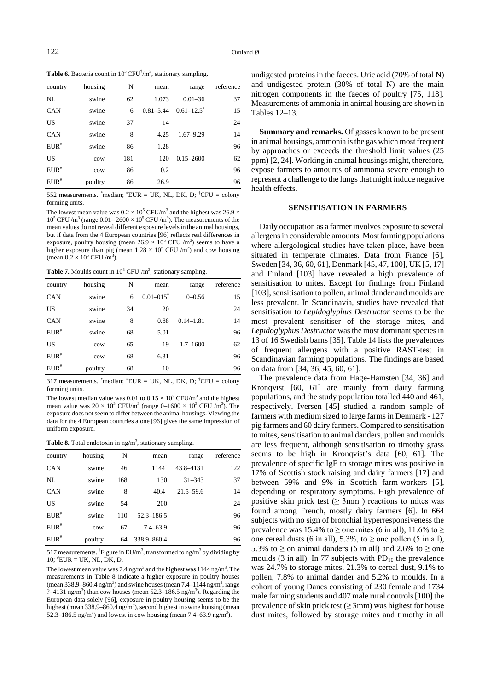**Table 6.** Bacteria count in  $10^5$  CFU<sup> $\dagger$ </sup>/m<sup>3</sup>, stationary sampling.

| country   | housing | N   | mean          | range                      | reference |
|-----------|---------|-----|---------------|----------------------------|-----------|
| NL        | swine   | 62  | 1.073         | $0.01 - 36$                | 37        |
| CAN       | swine   | 6   | $0.81 - 5.44$ | $0.61 - 12.5$ <sup>*</sup> | 15        |
| <b>US</b> | swine   | 37  | 14            |                            | 24        |
| CAN       | swine   | 8   | 4.25          | $1.67 - 9.29$              | 14        |
| $EUR^*$   | swine   | 86  | 1.28          |                            | 96        |
| US        | cow     | 181 | 120           | $0.15 - 2600$              | 62        |
| $EUR^*$   | cow     | 86  | 0.2           |                            | 96        |
| $EUR^*$   | poultry | 86  | 26.9          |                            | 96        |

552 measurements.  $\text{``median;} \text{``EUR} = \text{UK, NL, DK, D; } \text{``CFU = colony}$ forming units.

The lowest mean value was  $0.2 \times 10^5$  CFU/m<sup>3</sup> and the highest was 26.9  $\times$  $10^5$  CFU /m<sup>3</sup> (range  $0.01-2600 \times 10^5$  CFU /m<sup>3</sup>). The measurements of the mean values do not reveal different exposure levels in the animal housings, but if data from the 4 European countries [96] reflects real differences in exposure, poultry housing (mean  $26.9 \times 10^5$  CFU /m<sup>3</sup>) seems to have a higher exposure than pig (mean  $1.28 \times 10^5$  CFU /m<sup>3</sup>) and cow housing (mean  $0.2 \times 10^5$  CFU/m<sup>3</sup>).

**Table 7.** Moulds count in  $10^3 \text{ CFU}^{\dagger}/\text{m}^3$ , stationary sampling.

| country    | housing | N  | mean                      | range         | reference |
|------------|---------|----|---------------------------|---------------|-----------|
| CAN        | swine   | 6  | $0.01 - 015$ <sup>*</sup> | $0 - 0.56$    | 15        |
| <b>US</b>  | swine   | 34 | 20                        |               | 24        |
| <b>CAN</b> | swine   | 8  | 0.88                      | $0.14 - 1.81$ | 14        |
| $EUR^*$    | swine   | 68 | 5.01                      |               | 96        |
| <b>US</b>  | cow     | 65 | 19                        | $1.7 - 1600$  | 62        |
| $EUR^*$    | cow     | 68 | 6.31                      |               | 96        |
| $EUR^*$    | poultry | 68 | 10                        |               | 96        |

317 measurements.  $\text{``median;} \text{``EUR} = \text{UK, NL, DK, D; } \text{``CFU = colony}$ forming units.

The lowest median value was 0.01 to  $0.15 \times 10^3$  CFU/m<sup>3</sup> and the highest mean value was  $20 \times 10^3$  CFU/m<sup>3</sup> (range 0–1600  $\times 10^3$  CFU /m<sup>3</sup>). The exposure does not seem to differ between the animal housings. Viewing the data for the 4 European countries alone [96] gives the same impression of uniform exposure.

**Table 8.** Total endotoxin in  $ng/m<sup>3</sup>$ , stationary sampling.

| country   | housing | N   | mean             | range         | reference |
|-----------|---------|-----|------------------|---------------|-----------|
| CAN       | swine   | 46  | $1144^t$         | 43.8-4131     | 122       |
| NL        | swine   | 168 | 130              | $31 - 343$    | 37        |
| CAN       | swine   | 8   | $40.4^{\dagger}$ | $21.5 - 59.6$ | 14        |
| <b>US</b> | swine   | 54  | 200              |               | 24        |
| $EUR^*$   | swine   | 110 | $52.3 - 186.5$   |               | 96        |
| $EUR^*$   | cow     | 67  | $7.4 - 63.9$     |               | 96        |
| $EUR^*$   | poultry | 64  | 338.9-860.4      |               | 96        |

517 measurements. <sup>†</sup>Figure in EU/m<sup>3</sup>, transformed to ng/m<sup>3</sup> by dividing by 10; # EUR = UK, NL, DK, D.

The lowest mean value was 7.4 ng/m<sup>3</sup> and the highest was  $1144$  ng/m<sup>3</sup>. The measurements in Table 8 indicate a higher exposure in poultry houses (mean 338.9–860.4 ng/m<sup>3</sup>) and swine houses (mean 7.4–1144 ng/m<sup>3</sup>, range  $? -4131$  ng/m<sup>3</sup>) than cow houses (mean 52.3–186.5 ng/m<sup>3</sup>). Regarding the European data solely [96], exposure in poultry housing seems to be the highest (mean 338.9–860.4 ng/m<sup>3</sup>), second highest in swine housing (mean 52.3–186.5 ng/m<sup>3</sup>) and lowest in cow housing (mean 7.4–63.9 ng/m<sup>3</sup>).

undigested proteins in the faeces. Uric acid (70% of total N) and undigested protein (30% of total N) are the main nitrogen components in the faeces of poultry [75, 118]. Measurements of ammonia in animal housing are shown in Tables 12–13.

**Summary and remarks.** Of gasses known to be present in animal housings, ammonia is the gas which most frequent by approaches or exceeds the threshold limit values (25 ppm) [2, 24]. Working in animal housings might, therefore, expose farmers to amounts of ammonia severe enough to represent a challenge to the lungs that might induce negative health effects.

#### **SENSITISATION IN FARMERS**

Daily occupation as a farmer involves exposure to several allergens in considerable amounts. Most farming populations where allergological studies have taken place, have been situated in temperate climates. Data from France [6], Sweden [34, 36, 60, 61], Denmark [45, 47, 100], UK [5, 17] and Finland [103] have revealed a high prevalence of sensitisation to mites. Except for findings from Finland [103], sensitisation to pollen, animal dander and moulds are less prevalent. In Scandinavia, studies have revealed that sensitisation to *Lepidoglyphus Destructor* seems to be the most prevalent sensitiser of the storage mites, and *Lepidoglyphus Destructor* was the most dominant species in 13 of 16 Swedish barns [35]. Table 14 lists the prevalences of frequent allergens with a positive RAST-test in Scandinavian farming populations. The findings are based on data from [34, 36, 45, 60, 61].

The prevalence data from Hage-Hamsten [34, 36] and Kronqvist [60, 61] are mainly from dairy farming populations, and the study population totalled 440 and 461, respectively. Iversen [45] studied a random sample of farmers with medium sized to large farms in Denmark - 127 pig farmers and 60 dairy farmers. Compared to sensitisation to mites, sensitisation to animal danders, pollen and moulds are less frequent, although sensitisation to timothy grass seems to be high in Kronqvist's data [60, 61]. The prevalence of specific IgE to storage mites was positive in 17% of Scottish stock raising and dairy farmers [17] and between 59% and 9% in Scottish farm-workers [5], depending on respiratory symptoms. High prevalence of positive skin prick test ( $\geq$  3mm) reactions to mites was found among French, mostly dairy farmers [6]. In 664 subjects with no sign of bronchial hyperresponsiveness the prevalence was 15.4% to  $\geq$  one mites (6 in all), 11.6% to  $\geq$ one cereal dusts (6 in all), 5.3%, to  $\geq$  one pollen (5 in all), 5.3% to  $\geq$  on animal danders (6 in all) and 2.6% to  $\geq$  one moulds (3 in all). In 77 subjects with  $PD_{10}$  the prevalence was 24.7% to storage mites, 21.3% to cereal dust, 9.1% to pollen, 7.8% to animal dander and 5.2% to moulds. In a cohort of young Danes consisting of 230 female and 1734 male farming students and 407 male rural controls [100] the prevalence of skin prick test ( $\geq$  3mm) was highest for house dust mites, followed by storage mites and timothy in all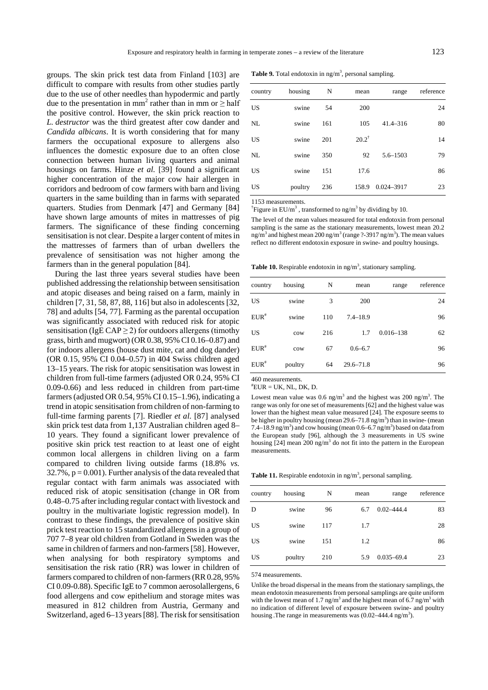groups. The skin prick test data from Finland [103] are difficult to compare with results from other studies partly due to the use of other needles than hypodermic and partly due to the presentation in mm<sup>2</sup> rather than in mm or  $\geq$  half the positive control. However, the skin prick reaction to *L. destructor* was the third greatest after cow dander and *Candida albicans*. It is worth considering that for many farmers the occupational exposure to allergens also influences the domestic exposure due to an often close connection between human living quarters and animal housings on farms. Hinze *et al.* [39] found a significant higher concentration of the major cow hair allergen in corridors and bedroom of cow farmers with barn and living quarters in the same building than in farms with separated quarters. Studies from Denmark [47] and Germany [84] have shown large amounts of mites in mattresses of pig farmers. The significance of these finding concerning sensitisation is not clear. Despite a larger content of mites in the mattresses of farmers than of urban dwellers the prevalence of sensitisation was not higher among the farmers than in the general population [84].

During the last three years several studies have been published addressing the relationship between sensitisation and atopic diseases and being raised on a farm, mainly in children [7, 31, 58, 87, 88, 116] but also in adolescents [32, 78] and adults [54, 77]. Farming as the parental occupation was significantly associated with reduced risk for atopic sensitisation (IgE CAP  $\geq$  2) for outdoors allergens (timothy grass, birth and mugwort) (OR 0.38, 95% CI 0.16–0.87) and for indoors allergens (house dust mite, cat and dog dander) (OR 0.15, 95% CI 0.04–0.57) in 404 Swiss children aged 13–15 years. The risk for atopic sensitisation was lowest in children from full-time farmers (adjusted OR 0.24, 95% CI 0.09-0.66) and less reduced in children from part-time farmers (adjusted OR 0.54, 95% CI 0.15–1.96), indicating a trend in atopic sensitisation from children of non-farming to full-time farming parents [7]. Riedler *et al.* [87] analysed skin prick test data from 1,137 Australian children aged 8– 10 years. They found a significant lower prevalence of positive skin prick test reaction to at least one of eight common local allergens in children living on a farm compared to children living outside farms (18.8% *vs.*  $32.7\%$ ,  $p = 0.001$ ). Further analysis of the data revealed that regular contact with farm animals was associated with reduced risk of atopic sensitisation (change in OR from 0.48–0.75 after including regular contact with livestock and poultry in the multivariate logistic regression model). In contrast to these findings, the prevalence of positive skin prick test reaction to 15 standardized allergens in a group of 707 7–8 year old children from Gotland in Sweden was the same in children of farmers and non-farmers [58]. However, when analysing for both respiratory symptoms and sensitisation the risk ratio (RR) was lower in children of farmers compared to children of non-farmers (RR 0.28, 95% CI 0.09-0.88). Specific IgE to 7 common aerosolallergens, 6 food allergens and cow epithelium and storage mites was measured in 812 children from Austria, Germany and Switzerland, aged 6–13 years [88]. The risk for sensitisation

Table 9. Total endotoxin in ng/m<sup>3</sup>, personal sampling.

| country | housing | N   | mean             | range            | reference |
|---------|---------|-----|------------------|------------------|-----------|
| US      | swine   | 54  | 200              |                  | 24        |
| NI.     | swine   | 161 | 105              | $41.4 - 316$     | 80        |
| US      | swine   | 201 | $20.2^{\dagger}$ |                  | 14        |
| NL      | swine   | 350 | 92               | $5.6 - 1503$     | 79        |
| US      | swine   | 151 | 17.6             |                  | 86        |
| US      | poultry | 236 |                  | 158.9 0.024-3917 | 23        |

1153 measurements.

<sup>†</sup>Figure in EU/m<sup>3</sup>, transformed to ng/m<sup>3</sup> by dividing by 10.

The level of the mean values measured for total endotoxin from personal sampling is the same as the stationary measurements, lowest mean 20.2 ng/m<sup>3</sup> and highest mean 200 ng/m<sup>3</sup> (range ?-3917 ng/m<sup>3</sup>). The mean values reflect no different endotoxin exposure in swine- and poultry housings.

Table 10. Respirable endotoxin in ng/m<sup>3</sup>, stationary sampling.

| country   | housing | N   | mean          | range         | reference |
|-----------|---------|-----|---------------|---------------|-----------|
| <b>US</b> | swine   | 3   | 200           |               | 24        |
| $EUR^*$   | swine   | 110 | $7.4 - 18.9$  |               | 96        |
| <b>US</b> | cow     | 216 | 1.7           | $0.016 - 138$ | 62        |
| $EUR^*$   | cow     | 67  | $0.6 - 6.7$   |               | 96        |
| $EUR^*$   | poultry | 64  | $29.6 - 71.8$ |               | 96        |

460 measurements.

 $EUR = UK$ , NL, DK, D.

Lowest mean value was  $0.6$  ng/m<sup>3</sup> and the highest was  $200$  ng/m<sup>3</sup>. The range was only for one set of measurements [62] and the highest value was lower than the highest mean value measured [24]. The exposure seems to be higher in poultry housing (mean  $29.6 - 71.8$  ng/m<sup>3</sup>) than in swine- (mean 7.4–18.9 ng/m<sup>3</sup>) and cow housing (mean  $0.6-6.7$  ng/m<sup>3</sup>) based on data from the European study [96], although the 3 measurements in US swine housing [24] mean 200 ng/m<sup>3</sup> do not fit into the pattern in the European measurements.

**Table 11.** Respirable endotoxin in  $ng/m<sup>3</sup>$ , personal sampling.

| country | housing | N   | mean | range          | reference |
|---------|---------|-----|------|----------------|-----------|
| D       | swine   | 96  | 6.7  | $0.02 - 444.4$ | 83        |
| US      | swine   | 117 | 1.7  |                | 28        |
| US      | swine   | 151 | 1.2  |                | 86        |
| US      | poultry | 210 | 5.9  | $0.035 - 69.4$ | 23        |

574 measurements.

Unlike the broad dispersal in the means from the stationary samplings, the mean endotoxin measurements from personal samplings are quite uniform with the lowest mean of 1.7 ng/m<sup>3</sup> and the highest mean of 6.7 ng/m<sup>3</sup> with no indication of different level of exposure between swine- and poultry housing .The range in measurements was  $(0.02-444.4 \text{ ng/m}^3)$ .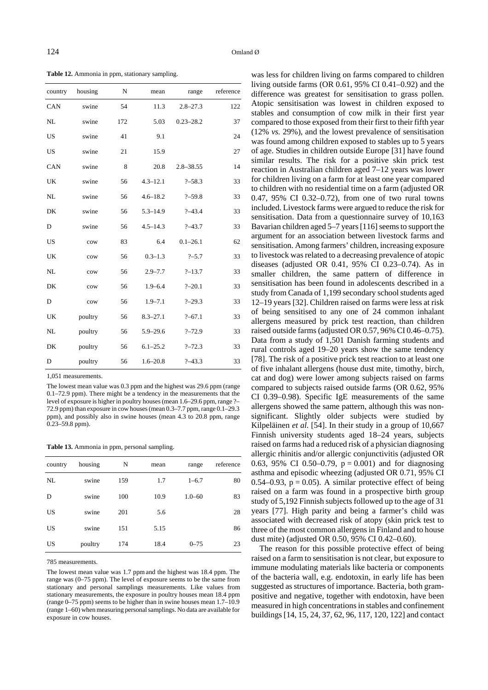**Table 12.** Ammonia in ppm, stationary sampling.

| country     | housing | N   | mean         | range         | reference |
|-------------|---------|-----|--------------|---------------|-----------|
| CAN         | swine   | 54  | 11.3         | $2.8 - 27.3$  | 122       |
| NL          | swine   | 172 | 5.03         | $0.23 - 28.2$ | 37        |
| <b>US</b>   | swine   | 41  | 9.1          |               | 24        |
| <b>US</b>   | swine   | 21  | 15.9         |               | 27        |
| CAN         | swine   | 8   | 20.8         | $2.8 - 38.55$ | 14        |
| UK          | swine   | 56  | $4.3 - 12.1$ | $? - 58.3$    | 33        |
| NL          | swine   | 56  | $4.6 - 18.2$ | $? - 59.8$    | 33        |
| DK          | swine   | 56  | $5.3 - 14.9$ | $? - 43.4$    | 33        |
| $\mathbf D$ | swine   | 56  | $4.5 - 14.3$ | $? - 43.7$    | 33        |
| <b>US</b>   | cow     | 83  | 6.4          | $0.1 - 26.1$  | 62        |
| UK          | cow     | 56  | $0.3 - 1.3$  | $? - 5.7$     | 33        |
| NL          | cow     | 56  | $2.9 - 7.7$  | $? - 13.7$    | 33        |
| DK          | cow     | 56  | $1.9 - 6.4$  | $? - 20.1$    | 33        |
| $\mathbf D$ | cow     | 56  | $1.9 - 7.1$  | $? - 29.3$    | 33        |
| UK          | poultry | 56  | $8.3 - 27.1$ | $? - 67.1$    | 33        |
| NL          | poultry | 56  | $5.9 - 29.6$ | $? - 72.9$    | 33        |
| DK          | poultry | 56  | $6.1 - 25.2$ | $? - 72.3$    | 33        |
| D           | poultry | 56  | $1.6 - 20.8$ | $? - 43.3$    | 33        |

1,051 measurements.

The lowest mean value was 0.3 ppm and the highest was 29.6 ppm (range 0.1–72.9 ppm). There might be a tendency in the measurements that the level of exposure is higher in poultry houses (mean 1.6–29.6 ppm, range ?– 72.9 ppm) than exposure in cow houses (mean 0.3–7.7 ppm, range 0.1–29.3 ppm), and possibly also in swine houses (mean 4.3 to 20.8 ppm, range 0.23–59.8 ppm).

**Table 13.** Ammonia in ppm, personal sampling.

| country | housing | N   | mean | range      | reference |
|---------|---------|-----|------|------------|-----------|
| NL      | swine   | 159 | 1.7  | $1 - 6.7$  | 80        |
| D       | swine   | 100 | 10.9 | $1.0 - 60$ | 83        |
| US      | swine   | 201 | 5.6  |            | 28        |
| US      | swine   | 151 | 5.15 |            | 86        |
| US      | poultry | 174 | 18.4 | $0 - 75$   | 23        |

785 measurements.

The lowest mean value was 1.7 ppm and the highest was 18.4 ppm. The range was (0–75 ppm). The level of exposure seems to be the same from stationary and personal samplings measurements. Like values from stationary measurements, the exposure in poultry houses mean 18.4 ppm (range 0–75 ppm) seems to be higher than in swine houses mean 1.7–10.9 (range 1–60) when measuring personal samplings. No data are available for exposure in cow houses.

was less for children living on farms compared to children living outside farms (OR 0.61, 95% CI 0.41–0.92) and the difference was greatest for sensitisation to grass pollen. Atopic sensitisation was lowest in children exposed to stables and consumption of cow milk in their first year compared to those exposed from their first to their fifth year (12% *vs.* 29%), and the lowest prevalence of sensitisation was found among children exposed to stables up to 5 years of age. Studies in children outside Europe [31] have found similar results. The risk for a positive skin prick test reaction in Australian children aged 7–12 years was lower for children living on a farm for at least one year compared to children with no residential time on a farm (adjusted OR 0.47, 95% CI 0.32–0.72), from one of two rural towns included. Livestock farms were argued to reduce the risk for sensitisation. Data from a questionnaire survey of 10,163 Bavarian children aged 5–7 years [116] seems to support the argument for an association between livestock farms and sensitisation. Among farmers' children, increasing exposure to livestock was related to a decreasing prevalence of atopic diseases (adjusted OR 0.41, 95% CI 0.23–0.74). As in smaller children, the same pattern of difference in sensitisation has been found in adolescents described in a study from Canada of 1,199 secondary school students aged 12–19 years [32]. Children raised on farms were less at risk of being sensitised to any one of 24 common inhalant allergens measured by prick test reaction, than children raised outside farms (adjusted OR 0.57, 96% CI 0.46–0.75). Data from a study of 1,501 Danish farming students and rural controls aged 19–20 years show the same tendency [78]. The risk of a positive prick test reaction to at least one of five inhalant allergens (house dust mite, timothy, birch, cat and dog) were lower among subjects raised on farms compared to subjects raised outside farms (OR 0.62, 95% CI 0.39–0.98). Specific IgE measurements of the same allergens showed the same pattern, although this was nonsignificant. Slightly older subjects were studied by Kilpeläinen *et al.* [54]. In their study in a group of 10,667 Finnish university students aged 18–24 years, subjects raised on farms had a reduced risk of a physician diagnosing allergic rhinitis and/or allergic conjunctivitis (adjusted OR 0.63, 95% CI 0.50–0.79,  $p = 0.001$ ) and for diagnosing asthma and episodic wheezing (adjusted OR 0.71, 95% CI 0.54–0.93,  $p = 0.05$ ). A similar protective effect of being raised on a farm was found in a prospective birth group study of 5,192 Finnish subjects followed up to the age of 31 years [77]. High parity and being a farmer's child was associated with decreased risk of atopy (skin prick test to three of the most common allergens in Finland and to house dust mite) (adjusted OR 0.50, 95% CI 0.42–0.60).

The reason for this possible protective effect of being raised on a farm to sensitisation is not clear, but exposure to immune modulating materials like bacteria or components of the bacteria wall, e.g. endotoxin, in early life has been suggested as structures of importance. Bacteria, both grampositive and negative, together with endotoxin, have been measured in high concentrations in stables and confinement buildings [14, 15, 24, 37, 62, 96, 117, 120, 122] and contact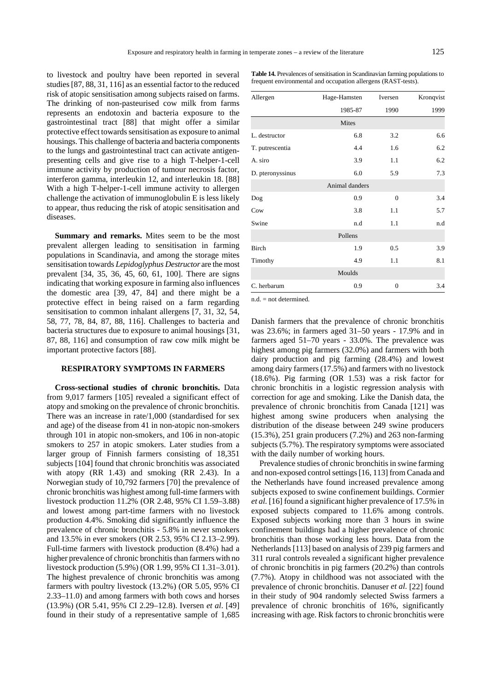to livestock and poultry have been reported in several studies [87, 88, 31, 116] as an essential factor to the reduced risk of atopic sensitisation among subjects raised on farms. The drinking of non-pasteurised cow milk from farms represents an endotoxin and bacteria exposure to the gastrointestinal tract [88] that might offer a similar protective effect towards sensitisation as exposure to animal housings. This challenge of bacteria and bacteria components to the lungs and gastrointestinal tract can activate antigenpresenting cells and give rise to a high T-helper-1-cell immune activity by production of tumour necrosis factor, interferon gamma, interleukin 12, and interleukin 18. [88] With a high T-helper-1-cell immune activity to allergen challenge the activation of immunoglobulin E is less likely to appear, thus reducing the risk of atopic sensitisation and diseases.

**Summary and remarks.** Mites seem to be the most prevalent allergen leading to sensitisation in farming populations in Scandinavia, and among the storage mites sensitisation towards *Lepidoglyphus Destructor* are the most prevalent [34, 35, 36, 45, 60, 61, 100]. There are signs indicating that working exposure in farming also influences the domestic area [39, 47, 84] and there might be a protective effect in being raised on a farm regarding sensitisation to common inhalant allergens [7, 31, 32, 54, 58, 77, 78, 84, 87, 88, 116]. Challenges to bacteria and bacteria structures due to exposure to animal housings [31, 87, 88, 116] and consumption of raw cow milk might be important protective factors [88].

#### **RESPIRATORY SYMPTOMS IN FARMERS**

**Cross-sectional studies of chronic bronchitis.** Data from 9,017 farmers [105] revealed a significant effect of atopy and smoking on the prevalence of chronic bronchitis. There was an increase in rate/1,000 (standardised for sex and age) of the disease from 41 in non-atopic non-smokers through 101 in atopic non-smokers, and 106 in non-atopic smokers to 257 in atopic smokers. Later studies from a larger group of Finnish farmers consisting of 18,351 subjects [104] found that chronic bronchitis was associated with atopy (RR 1.43) and smoking (RR 2.43). In a Norwegian study of 10,792 farmers [70] the prevalence of chronic bronchitis was highest among full-time farmers with livestock production 11.2% (OR 2.48, 95% CI 1.59–3.88) and lowest among part-time farmers with no livestock production 4.4%. Smoking did significantly influence the prevalence of chronic bronchitis - 5.8% in never smokers and 13.5% in ever smokers (OR 2.53, 95% CI 2.13–2.99). Full-time farmers with livestock production (8.4%) had a higher prevalence of chronic bronchitis than farmers with no livestock production (5.9%) (OR 1.99, 95% CI 1.31–3.01). The highest prevalence of chronic bronchitis was among farmers with poultry livestock (13.2%) (OR 5.05, 95% CI 2.33–11.0) and among farmers with both cows and horses (13.9%) (OR 5.41, 95% CI 2.29–12.8). Iversen *et al*. [49] found in their study of a representative sample of 1,685

| <b>Table 14.</b> Prevalences of sensitisation in Scandinavian farming populations to |
|--------------------------------------------------------------------------------------|
| frequent environmental and occupation allergens (RAST-tests).                        |

| Allergen         | Hage-Hamsten   | Iversen        | Kronqvist |
|------------------|----------------|----------------|-----------|
|                  | 1985-87        | 1990           | 1999      |
|                  | Mites          |                |           |
| L. destructor    | 6.8            | 3.2            | 6.6       |
| T. putrescentia  | 4.4            | 1.6            | 6.2       |
| A. siro          | 3.9            | 1.1            | 6.2       |
| D. pteronyssinus | 6.0            | 5.9            | 7.3       |
|                  | Animal danders |                |           |
| Dog              | 0.9            | $\overline{0}$ | 3.4       |
| Cow              | 3.8            | 1.1            | 5.7       |
| Swine            | n.d            | 1.1            | n.d       |
|                  | Pollens        |                |           |
| Birch            | 1.9            | 0.5            | 3.9       |
| Timothy          | 4.9            | 1.1            | 8.1       |
|                  | Moulds         |                |           |
| C. herbarum      | 0.9            | $\overline{0}$ | 3.4       |

 $n.d. = not determined.$ 

Danish farmers that the prevalence of chronic bronchitis was 23.6%; in farmers aged 31–50 years - 17.9% and in farmers aged 51–70 years - 33.0%. The prevalence was highest among pig farmers (32.0%) and farmers with both dairy production and pig farming (28.4%) and lowest among dairy farmers (17.5%) and farmers with no livestock (18.6%). Pig farming (OR 1.53) was a risk factor for chronic bronchitis in a logistic regression analysis with correction for age and smoking. Like the Danish data, the prevalence of chronic bronchitis from Canada [121] was highest among swine producers when analysing the distribution of the disease between 249 swine producers (15.3%), 251 grain producers (7.2%) and 263 non-farming subjects (5.7%). The respiratory symptoms were associated with the daily number of working hours.

Prevalence studies of chronic bronchitis in swine farming and non-exposed control settings [16, 113] from Canada and the Netherlands have found increased prevalence among subjects exposed to swine confinement buildings. Cormier *et al.* [16] found a significant higher prevalence of 17.5% in exposed subjects compared to 11.6% among controls. Exposed subjects working more than 3 hours in swine confinement buildings had a higher prevalence of chronic bronchitis than those working less hours. Data from the Netherlands [113] based on analysis of 239 pig farmers and 311 rural controls revealed a significant higher prevalence of chronic bronchitis in pig farmers (20.2%) than controls (7.7%). Atopy in childhood was not associated with the prevalence of chronic bronchitis. Danuser *et al.* [22] found in their study of 904 randomly selected Swiss farmers a prevalence of chronic bronchitis of 16%, significantly increasing with age. Risk factors to chronic bronchitis were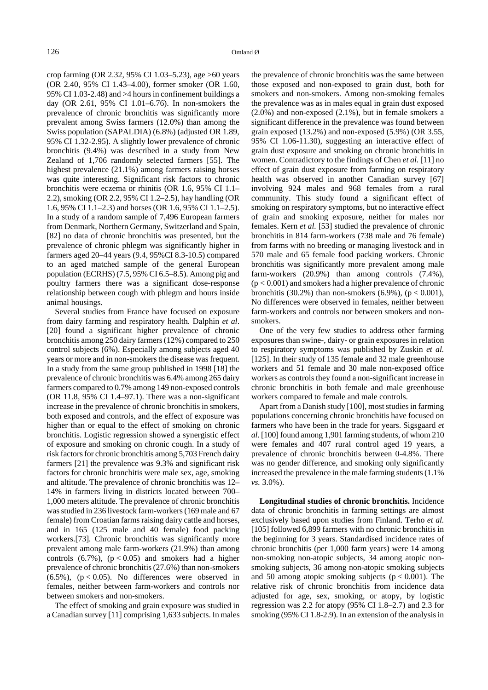crop farming (OR 2.32, 95% CI 1.03–5.23), age >60 years (OR 2.40, 95% CI 1.43–4.00), former smoker (OR 1.60, 95% CI 1.03-2.48) and >4 hours in confinement buildings a day (OR 2.61, 95% CI 1.01–6.76). In non-smokers the prevalence of chronic bronchitis was significantly more prevalent among Swiss farmers (12.0%) than among the Swiss population (SAPALDIA) (6.8%) (adjusted OR 1.89, 95% CI 1.32-2.95). A slightly lower prevalence of chronic bronchitis (9.4%) was described in a study from New Zealand of 1,706 randomly selected farmers [55]. The highest prevalence (21.1%) among farmers raising horses was quite interesting. Significant risk factors to chronic bronchitis were eczema or rhinitis (OR 1.6, 95% CI 1.1– 2.2), smoking (OR 2.2, 95% CI 1.2–2.5), hay handling (OR 1.6, 95% CI 1.1–2.3) and horses (OR 1.6, 95% CI 1.1–2.5). In a study of a random sample of 7,496 European farmers from Denmark, Northern Germany, Switzerland and Spain, [82] no data of chronic bronchitis was presented, but the prevalence of chronic phlegm was significantly higher in farmers aged 20–44 years (9.4, 95%CI 8.3-10.5) compared to an aged matched sample of the general European population (ECRHS) (7.5, 95% CI 6.5–8.5). Among pig and poultry farmers there was a significant dose-response relationship between cough with phlegm and hours inside animal housings.

Several studies from France have focused on exposure from dairy farming and respiratory health. Dalphin *et al*. [20] found a significant higher prevalence of chronic bronchitis among 250 dairy farmers (12%) compared to 250 control subjects (6%). Especially among subjects aged 40 years or more and in non-smokers the disease was frequent. In a study from the same group published in 1998 [18] the prevalence of chronic bronchitis was 6.4% among 265 dairy farmers compared to 0.7% among 149 non-exposed controls (OR 11.8, 95% CI 1.4–97.1). There was a non-significant increase in the prevalence of chronic bronchitis in smokers, both exposed and controls, and the effect of exposure was higher than or equal to the effect of smoking on chronic bronchitis. Logistic regression showed a synergistic effect of exposure and smoking on chronic cough. In a study of risk factors for chronic bronchitis among 5,703 French dairy farmers [21] the prevalence was 9.3% and significant risk factors for chronic bronchitis were male sex, age, smoking and altitude. The prevalence of chronic bronchitis was 12– 14% in farmers living in districts located between 700– 1,000 meters altitude. The prevalence of chronic bronchitis was studied in 236 livestock farm-workers (169 male and 67 female) from Croatian farms raising dairy cattle and horses, and in 165 (125 male and 40 female) food packing workers.[73]*.* Chronic bronchitis was significantly more prevalent among male farm-workers (21.9%) than among controls  $(6.7\%)$ ,  $(p < 0.05)$  and smokers had a higher prevalence of chronic bronchitis (27.6%) than non-smokers  $(6.5\%)$ ,  $(p < 0.05)$ . No differences were observed in females, neither between farm-workers and controls nor between smokers and non-smokers.

The effect of smoking and grain exposure was studied in a Canadian survey [11] comprising 1,633 subjects. In males the prevalence of chronic bronchitis was the same between those exposed and non-exposed to grain dust, both for smokers and non-smokers. Among non-smoking females the prevalence was as in males equal in grain dust exposed  $(2.0\%)$  and non-exposed  $(2.1\%)$ , but in female smokers a significant difference in the prevalence was found between grain exposed (13.2%) and non-exposed (5.9%) (OR 3.55, 95% CI 1.06-11.30), suggesting an interactive effect of grain dust exposure and smoking on chronic bronchitis in women. Contradictory to the findings of Chen *et al.* [11] no effect of grain dust exposure from farming on respiratory health was observed in another Canadian survey [67] involving 924 males and 968 females from a rural community. This study found a significant effect of smoking on respiratory symptoms, but no interactive effect of grain and smoking exposure, neither for males nor females. Kern *et al.* [53] studied the prevalence of chronic bronchitis in 814 farm-workers (738 male and 76 female) from farms with no breeding or managing livestock and in 570 male and 65 female food packing workers. Chronic bronchitis was significantly more prevalent among male farm-workers (20.9%) than among controls (7.4%),  $(p < 0.001)$  and smokers had a higher prevalence of chronic bronchitis (30.2%) than non-smokers (6.9%), ( $p < 0.001$ ), No differences were observed in females, neither between farm-workers and controls nor between smokers and nonsmokers.

One of the very few studies to address other farming exposures than swine-, dairy- or grain exposures in relation to respiratory symptoms was published by Zuskin *et al.* [125]. In their study of 135 female and 32 male greenhouse workers and 51 female and 30 male non-exposed office workers as controls they found a non-significant increase in chronic bronchitis in both female and male greenhouse workers compared to female and male controls.

Apart from a Danish study [100], most studies in farming populations concerning chronic bronchitis have focused on farmers who have been in the trade for years. Sigsgaard *et al.* [100] found among 1,901 farming students, of whom 210 were females and 407 rural control aged 19 years, a prevalence of chronic bronchitis between 0-4.8%. There was no gender difference, and smoking only significantly increased the prevalence in the male farming students (1.1% *vs.* 3.0%).

**Longitudinal studies of chronic bronchitis.** Incidence data of chronic bronchitis in farming settings are almost exclusively based upon studies from Finland. Terho *et al.* [105] followed 6,899 farmers with no chronic bronchitis in the beginning for 3 years. Standardised incidence rates of chronic bronchitis (per 1,000 farm years) were 14 among non-smoking non-atopic subjects, 34 among atopic nonsmoking subjects, 36 among non-atopic smoking subjects and 50 among atopic smoking subjects ( $p < 0.001$ ). The relative risk of chronic bronchitis from incidence data adjusted for age, sex, smoking, or atopy, by logistic regression was 2.2 for atopy (95% CI 1.8–2.7) and 2.3 for smoking (95% CI 1.8-2.9). In an extension of the analysis in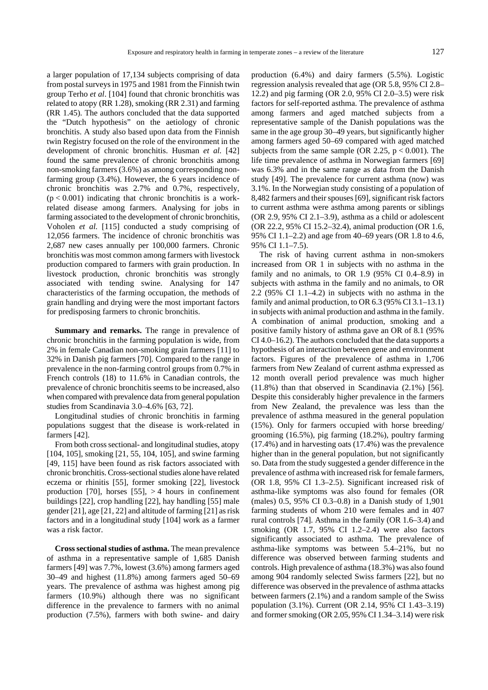a larger population of 17,134 subjects comprising of data from postal surveys in 1975 and 1981 from the Finnish twin group Terho *et al*. [104] found that chronic bronchitis was related to atopy (RR 1.28), smoking (RR 2.31) and farming (RR 1.45). The authors concluded that the data supported the "Dutch hypothesis" on the aetiology of chronic bronchitis. A study also based upon data from the Finnish twin Registry focused on the role of the environment in the development of chronic bronchitis. Husman *et al.* [42] found the same prevalence of chronic bronchitis among non-smoking farmers (3.6%) as among corresponding nonfarming group (3.4%). However, the 6 years incidence of chronic bronchitis was 2.7% and 0.7%, respectively,  $(p < 0.001)$  indicating that chronic bronchitis is a workrelated disease among farmers. Analysing for jobs in farming associated to the development of chronic bronchitis, Voholen *et al.* [115] conducted a study comprising of 12,056 farmers. The incidence of chronic bronchitis was 2,687 new cases annually per 100,000 farmers. Chronic bronchitis was most common among farmers with livestock production compared to farmers with grain production. In livestock production, chronic bronchitis was strongly associated with tending swine. Analysing for 147 characteristics of the farming occupation, the methods of grain handling and drying were the most important factors for predisposing farmers to chronic bronchitis.

**Summary and remarks.** The range in prevalence of chronic bronchitis in the farming population is wide, from 2% in female Canadian non-smoking grain farmers [11] to 32% in Danish pig farmers [70]. Compared to the range in prevalence in the non-farming control groups from 0.7% in French controls (18) to 11.6% in Canadian controls, the prevalence of chronic bronchitis seems to be increased, also when compared with prevalence data from general population studies from Scandinavia 3.0–4.6% [63, 72].

Longitudinal studies of chronic bronchitis in farming populations suggest that the disease is work-related in farmers [42].

From both cross sectional- and longitudinal studies, atopy [104, 105], smoking [21, 55, 104, 105], and swine farming [49, 115] have been found as risk factors associated with chronic bronchitis. Cross-sectional studies alone have related eczema or rhinitis [55], former smoking [22], livestock production [70], horses  $[55]$ ,  $> 4$  hours in confinement buildings [22], crop handling [22], hay handling [55] male gender [21], age [21, 22] and altitude of farming [21] as risk factors and in a longitudinal study [104] work as a farmer was a risk factor.

**Cross sectional studies of asthma.** The mean prevalence of asthma in a representative sample of 1,685 Danish farmers [49] was 7.7%, lowest (3.6%) among farmers aged 30–49 and highest (11.8%) among farmers aged 50–69 years. The prevalence of asthma was highest among pig farmers (10.9%) although there was no significant difference in the prevalence to farmers with no animal production (7.5%), farmers with both swine- and dairy production (6.4%) and dairy farmers (5.5%). Logistic regression analysis revealed that age (OR 5.8, 95% CI 2.8– 12.2) and pig farming (OR 2.0, 95% CI 2.0–3.5) were risk factors for self-reported asthma. The prevalence of asthma among farmers and aged matched subjects from a representative sample of the Danish populations was the same in the age group 30–49 years, but significantly higher among farmers aged 50–69 compared with aged matched subjects from the same sample (OR 2.25,  $p < 0.001$ ). The life time prevalence of asthma in Norwegian farmers [69] was 6.3% and in the same range as data from the Danish study [49]. The prevalence for current asthma (now) was 3.1%. In the Norwegian study consisting of a population of 8,482 farmers and their spouses [69], significant risk factors to current asthma were asthma among parents or siblings (OR 2.9, 95% CI 2.1–3.9), asthma as a child or adolescent (OR 22.2, 95% CI 15.2–32.4), animal production (OR 1.6, 95% CI 1.1–2.2) and age from 40–69 years (OR 1.8 to 4.6, 95% CI 1.1–7.5).

The risk of having current asthma in non-smokers increased from OR 1 in subjects with no asthma in the family and no animals, to OR 1.9 (95% CI 0.4–8.9) in subjects with asthma in the family and no animals, to OR 2.2 (95% CI 1.1–4.2) in subjects with no asthma in the family and animal production, to OR 6.3 (95% CI 3.1–13.1) in subjects with animal production and asthma in the family. A combination of animal production, smoking and a positive family history of asthma gave an OR of 8.1 (95% CI 4.0–16.2). The authors concluded that the data supports a hypothesis of an interaction between gene and environment factors. Figures of the prevalence of asthma in 1,706 farmers from New Zealand of current asthma expressed as 12 month overall period prevalence was much higher (11.8%) than that observed in Scandinavia (2.1%) [56]. Despite this considerably higher prevalence in the farmers from New Zealand, the prevalence was less than the prevalence of asthma measured in the general population (15%). Only for farmers occupied with horse breeding/ grooming (16.5%), pig farming (18.2%), poultry farming (17.4%) and in harvesting oats (17.4%) was the prevalence higher than in the general population, but not significantly so. Data from the study suggested a gender difference in the prevalence of asthma with increased risk for female farmers, (OR 1.8, 95% CI 1.3–2.5). Significant increased risk of asthma-like symptoms was also found for females (OR (males) 0.5, 95% CI 0.3–0.8) in a Danish study of 1,901 farming students of whom 210 were females and in 407 rural controls [74]. Asthma in the family (OR 1.6–3.4) and smoking (OR 1.7, 95% CI 1.2–2.4) were also factors significantly associated to asthma. The prevalence of asthma-like symptoms was between 5.4–21%, but no difference was observed between farming students and controls. High prevalence of asthma (18.3%) was also found among 904 randomly selected Swiss farmers [22], but no difference was observed in the prevalence of asthma attacks between farmers (2.1%) and a random sample of the Swiss population (3.1%). Current (OR 2.14, 95% CI 1.43–3.19) and former smoking (OR 2.05, 95% CI 1.34–3.14) were risk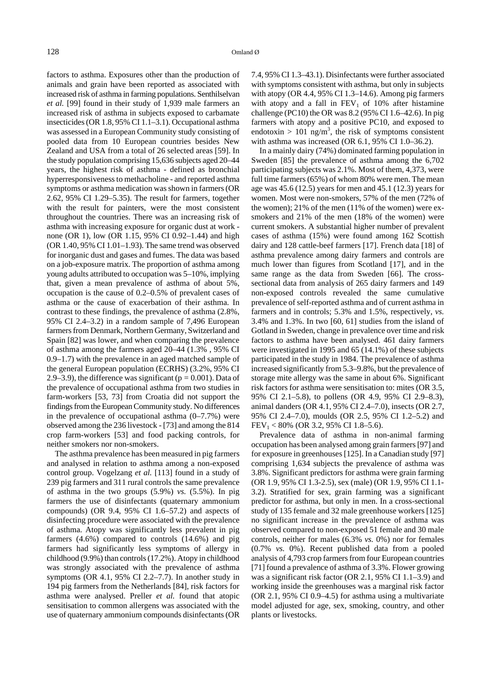factors to asthma. Exposures other than the production of animals and grain have been reported as associated with increased risk of asthma in farming populations. Senthilselvan *et al.* [99] found in their study of 1,939 male farmers an increased risk of asthma in subjects exposed to carbamate insecticides (OR 1.8, 95% CI 1.1–3.1). Occupational asthma was assessed in a European Community study consisting of pooled data from 10 European countries besides New Zealand and USA from a total of 26 selected areas [59]. In the study population comprising 15,636 subjects aged 20–44 years, the highest risk of asthma - defined as bronchial hyperresponsiveness to methacholine - and reported asthma symptoms or asthma medication was shown in farmers (OR 2.62, 95% CI 1.29–5.35). The result for farmers, together with the result for painters, were the most consistent throughout the countries. There was an increasing risk of asthma with increasing exposure for organic dust at work none (OR 1), low (OR 1.15, 95% CI 0.92–1.44) and high (OR 1.40, 95% CI 1.01–1.93). The same trend was observed for inorganic dust and gases and fumes. The data was based on a job-exposure matrix. The proportion of asthma among young adults attributed to occupation was 5–10%, implying that, given a mean prevalence of asthma of about 5%, occupation is the cause of 0.2–0.5% of prevalent cases of asthma or the cause of exacerbation of their asthma. In contrast to these findings, the prevalence of asthma (2.8%, 95% CI 2.4–3.2) in a random sample of 7,496 European farmers from Denmark, Northern Germany, Switzerland and Spain [82] was lower, and when comparing the prevalence of asthma among the farmers aged 20–44 (1.3% , 95% CI 0.9–1.7) with the prevalence in an aged matched sample of the general European population (ECRHS) (3.2%, 95% CI 2.9–3.9), the difference was significant ( $p = 0.001$ ). Data of the prevalence of occupational asthma from two studies in farm-workers [53, 73] from Croatia did not support the findings from the European Community study. No differences in the prevalence of occupational asthma  $(0-7.7%)$  were observed among the 236 livestock - [73] and among the 814 crop farm-workers [53] and food packing controls, for neither smokers nor non-smokers.

The asthma prevalence has been measured in pig farmers and analysed in relation to asthma among a non-exposed control group. Vogelzang *et al.* [113] found in a study of 239 pig farmers and 311 rural controls the same prevalence of asthma in the two groups (5.9%) *vs.* (5.5%). In pig farmers the use of disinfectants (quaternary ammonium compounds) (OR 9.4, 95% CI 1.6–57.2) and aspects of disinfecting procedure were associated with the prevalence of asthma. Atopy was significantly less prevalent in pig farmers (4.6%) compared to controls (14.6%) and pig farmers had significantly less symptoms of allergy in childhood (9.9%) than controls (17.2%). Atopy in childhood was strongly associated with the prevalence of asthma symptoms (OR 4.1, 95% CI 2.2–7.7). In another study in 194 pig farmers from the Netherlands [84], risk factors for asthma were analysed. Preller *et al.* found that atopic sensitisation to common allergens was associated with the use of quaternary ammonium compounds disinfectants (OR 7.4, 95% CI 1.3–43.1). Disinfectants were further associated with symptoms consistent with asthma, but only in subjects with atopy (OR 4.4, 95% CI 1.3–14.6). Among pig farmers with atopy and a fall in  $FEV<sub>1</sub>$  of 10% after histamine challenge (PC10) the OR was 8.2 (95% CI 1.6–42.6). In pig farmers with atopy and a positive PC10, and exposed to endotoxin > 101 ng/m<sup>3</sup>, the risk of symptoms consistent with asthma was increased (OR 6.1, 95% CI 1.0–36.2).

In a mainly dairy (74%) dominated farming population in Sweden [85] the prevalence of asthma among the 6,702 participating subjects was 2.1%. Most of them, 4,373, were full time farmers (65%) of whom 80% were men. The mean age was 45.6 (12.5) years for men and 45.1 (12.3) years for women. Most were non-smokers, 57% of the men (72% of the women); 21% of the men (11% of the women) were exsmokers and 21% of the men (18% of the women) were current smokers. A substantial higher number of prevalent cases of asthma (15%) were found among 162 Scottish dairy and 128 cattle-beef farmers [17]. French data [18] of asthma prevalence among dairy farmers and controls are much lower than figures from Scotland [17], and in the same range as the data from Sweden [66]. The crosssectional data from analysis of 265 dairy farmers and 149 non-exposed controls revealed the same cumulative prevalence of self-reported asthma and of current asthma in farmers and in controls; 5.3% and 1.5%, respectively, *vs.* 3.4% and 1.3%. In two [60, 61] studies from the island of Gotland in Sweden, change in prevalence over time and risk factors to asthma have been analysed. 461 dairy farmers were investigated in 1995 and 65 (14.1%) of these subjects participated in the study in 1984. The prevalence of asthma increased significantly from 5.3–9.8%, but the prevalence of storage mite allergy was the same in about 6%. Significant risk factors for asthma were sensitisation to: mites (OR 3.5, 95% CI 2.1–5.8), to pollens (OR 4.9, 95% CI 2.9–8.3), animal danders (OR 4.1, 95% CI 2.4–7.0), insects (OR 2.7, 95% CI 2.4–7.0), moulds (OR 2.5, 95% CI 1.2–5.2) and  $FEV<sub>1</sub> < 80\%$  (OR 3.2, 95% CI 1.8–5.6).

Prevalence data of asthma in non-animal farming occupation has been analysed among grain farmers [97] and for exposure in greenhouses [125]. In a Canadian study [97] comprising 1,634 subjects the prevalence of asthma was 3.8%. Significant predictors for asthma were grain farming (OR 1.9, 95% CI 1.3-2.5), sex (male) (OR 1.9, 95% CI 1.1- 3.2). Stratified for sex, grain farming was a significant predictor for asthma, but only in men. In a cross-sectional study of 135 female and 32 male greenhouse workers [125] no significant increase in the prevalence of asthma was observed compared to non-exposed 51 female and 30 male controls, neither for males (6.3% *vs.* 0%) nor for females (0.7% *vs.* 0%). Recent published data from a pooled analysis of 4,793 crop farmers from four European countries [71] found a prevalence of asthma of 3.3%. Flower growing was a significant risk factor (OR 2.1, 95% CI 1.1–3.9) and working inside the greenhouses was a marginal risk factor (OR 2.1, 95% CI 0.9–4.5) for asthma using a multivariate model adjusted for age, sex, smoking, country, and other plants or livestocks.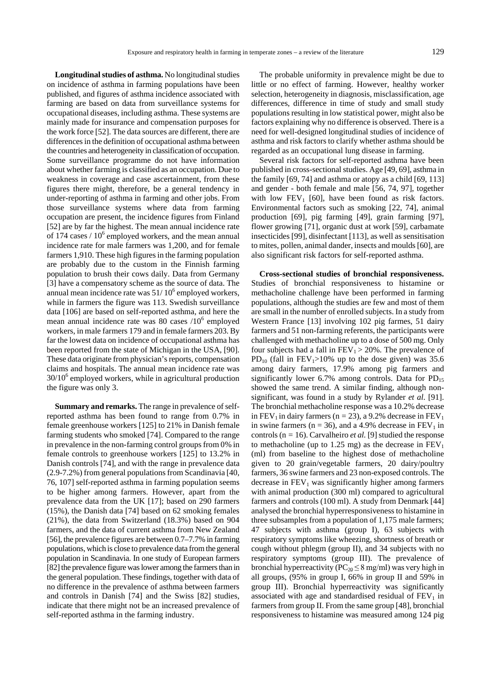**Longitudinal studies of asthma.** No longitudinal studies on incidence of asthma in farming populations have been published, and figures of asthma incidence associated with farming are based on data from surveillance systems for occupational diseases, including asthma. These systems are mainly made for insurance and compensation purposes for the work force [52]. The data sources are different, there are differences in the definition of occupational asthma between the countries and heterogeneity in classification of occupation. Some surveillance programme do not have information about whether farming is classified as an occupation. Due to weakness in coverage and case ascertainment, from these figures there might, therefore, be a general tendency in under-reporting of asthma in farming and other jobs. From those surveillance systems where data from farming occupation are present, the incidence figures from Finland [52] are by far the highest. The mean annual incidence rate of 174 cases  $/ 10^6$  employed workers, and the mean annual incidence rate for male farmers was 1,200, and for female farmers 1,910. These high figures in the farming population are probably due to the custom in the Finnish farming population to brush their cows daily. Data from Germany [3] have a compensatory scheme as the source of data. The annual mean incidence rate was  $51/10^6$  employed workers, while in farmers the figure was 113. Swedish surveillance data [106] are based on self-reported asthma, and here the mean annual incidence rate was  $80$  cases  $/10^6$  employed workers, in male farmers 179 and in female farmers 203. By far the lowest data on incidence of occupational asthma has been reported from the state of Michigan in the USA, [90]. These data originate from physician's reports, compensation claims and hospitals. The annual mean incidence rate was 30/10<sup>6</sup> employed workers, while in agricultural production the figure was only 3.

**Summary and remarks.** The range in prevalence of selfreported asthma has been found to range from 0.7% in female greenhouse workers [125] to 21% in Danish female farming students who smoked [74]. Compared to the range in prevalence in the non-farming control groups from 0% in female controls to greenhouse workers [125] to 13.2% in Danish controls [74], and with the range in prevalence data (2.9-7.2%) from general populations from Scandinavia [40, 76, 107] self-reported asthma in farming population seems to be higher among farmers. However, apart from the prevalence data from the UK [17]; based on 290 farmers (15%), the Danish data [74] based on 62 smoking females (21%), the data from Switzerland (18.3%) based on 904 farmers, and the data of current asthma from New Zealand [56], the prevalence figures are between 0.7–7.7% in farming populations, which is close to prevalence data from the general population in Scandinavia. In one study of European farmers [82] the prevalence figure was lower among the farmers than in the general population. These findings, together with data of no difference in the prevalence of asthma between farmers and controls in Danish [74] and the Swiss [82] studies, indicate that there might not be an increased prevalence of self-reported asthma in the farming industry.

The probable uniformity in prevalence might be due to little or no effect of farming. However, healthy worker selection, heterogeneity in diagnosis, misclassification, age differences, difference in time of study and small study populations resulting in low statistical power, might also be factors explaining why no difference is observed. There is a need for well-designed longitudinal studies of incidence of asthma and risk factors to clarify whether asthma should be regarded as an occupational lung disease in farming.

Several risk factors for self-reported asthma have been published in cross-sectional studies. Age [49, 69], asthma in the family [69, 74] and asthma or atopy as a child [69, 113] and gender - both female and male [56, 74, 97], together with low  $FEV<sub>1</sub>$  [60], have been found as risk factors. Environmental factors such as smoking [22, 74], animal production [69], pig farming [49], grain farming [97], flower growing [71], organic dust at work [59], carbamate insecticides [99], disinfectant [113], as well as sensitisation to mites, pollen, animal dander, insects and moulds [60], are also significant risk factors for self-reported asthma.

**Cross-sectional studies of bronchial responsiveness.**  Studies of bronchial responsiveness to histamine or methacholine challenge have been performed in farming populations, although the studies are few and most of them are small in the number of enrolled subjects. In a study from Western France [13] involving 102 pig farmes, 51 dairy farmers and 51 non-farming referents, the participants were challenged with methacholine up to a dose of 500 mg. Only four subjects had a fall in  $FEV<sub>1</sub> > 20%$ . The prevalence of PD<sub>10</sub> (fall in FEV<sub>1</sub>>10% up to the dose given) was 35.6 among dairy farmers, 17.9% among pig farmers and significantly lower 6.7% among controls. Data for  $PD_{15}$ showed the same trend. A similar finding, although nonsignificant, was found in a study by Rylander *et al*. [91]. The bronchial methacholine response was a 10.2% decrease in FEV<sub>1</sub> in dairy farmers (n = 23), a 9.2% decrease in FEV<sub>1</sub> in swine farmers ( $n = 36$ ), and a 4.9% decrease in  $FEV<sub>1</sub>$  in controls (n = 16). Carvalheiro *et al.* [9] studied the response to methacholine (up to 1.25 mg) as the decrease in  $FEV<sub>1</sub>$ (ml) from baseline to the highest dose of methacholine given to 20 grain/vegetable farmers, 20 dairy/poultry farmers, 36 swine farmers and 23 non-exposed controls. The decrease in  $FEV<sub>1</sub>$  was significantly higher among farmers with animal production (300 ml) compared to agricultural farmers and controls (100 ml). A study from Denmark [44] analysed the bronchial hyperresponsiveness to histamine in three subsamples from a population of 1,175 male farmers; 47 subjects with asthma (group I), 63 subjects with respiratory symptoms like wheezing, shortness of breath or cough without phlegm (group II), and 34 subjects with no respiratory symptoms (group III). The prevalence of bronchial hyperreactivity ( $PC_{20} \leq 8$  mg/ml) was very high in bronchial hyperreactivity ( $PC_{20} \le 8$  mg/ml) was very high in all groups, (95% in group I, 66% in group II and 59% in group III). Bronchial hyperreactivity was significantly associated with age and standardised residual of  $FEV<sub>1</sub>$  in farmers from group II. From the same group [48], bronchial responsiveness to histamine was measured among 124 pig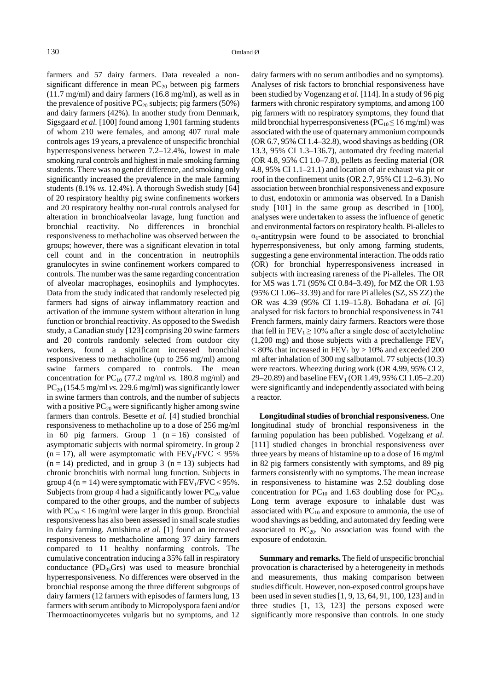farmers and 57 dairy farmers. Data revealed a nonsignificant difference in mean  $PC_{20}$  between pig farmers (11.7 mg/ml) and dairy farmers (16.8 mg/ml), as well as in the prevalence of positive  $PC_{20}$  subjects; pig farmers (50%) and dairy farmers (42%). In another study from Denmark, Sigsgaard *et al.* [100] found among 1,901 farming students of whom 210 were females, and among 407 rural male controls ages 19 years, a prevalence of unspecific bronchial hyperresponsiveness between 7.2–12.4%, lowest in male smoking rural controls and highest in male smoking farming students. There was no gender difference, and smoking only significantly increased the prevalence in the male farming students (8.1% *vs.* 12.4%). A thorough Swedish study [64] of 20 respiratory healthy pig swine confinements workers and 20 respiratory healthy non-rural controls analysed for alteration in bronchioalveolar lavage, lung function and bronchial reactivity. No differences in bronchial responsiveness to methacholine was observed between the groups; however, there was a significant elevation in total cell count and in the concentration in neutrophils granulocytes in swine confinement workers compared to controls. The number was the same regarding concentration of alveolar macrophages, eosinophils and lymphocytes. Data from the study indicated that randomly reselected pig farmers had signs of airway inflammatory reaction and activation of the immune system without alteration in lung function or bronchial reactivity. As opposed to the Swedish study, a Canadian study [123] comprising 20 swine farmers and 20 controls randomly selected from outdoor city workers, found a significant increased bronchial responsiveness to methacholine (up to 256 mg/ml) among swine farmers compared to controls. The mean concentration for  $PC_{10}$  (77.2 mg/ml *vs.* 180.8 mg/ml) and  $PC_{20}$  (154.5 mg/ml *vs.* 229.6 mg/ml) was significantly lower in swine farmers than controls, and the number of subjects with a positive  $PC_{20}$  were significantly higher among swine farmers than controls. Besette *et al.* [4] studied bronchial responsiveness to methacholine up to a dose of 256 mg/ml in 60 pig farmers. Group 1  $(n = 16)$  consisted of asymptomatic subjects with normal spirometry. In group 2  $(n = 17)$ , all were asymptomatic with  $FEV<sub>1</sub>/FVC < 95%$  $(n = 14)$  predicted, and in group 3  $(n = 13)$  subjects had chronic bronchitis with normal lung function. Subjects in group 4 (n = 14) were symptomatic with  $FEV<sub>1</sub>/FVC < 95\%$ . Subjects from group 4 had a significantly lower  $PC_{20}$  value compared to the other groups, and the number of subjects with  $PC_{20}$  < 16 mg/ml were larger in this group. Bronchial responsiveness has also been assessed in small scale studies in dairy farming. Amishima *et al*. [1] found an increased responsiveness to methacholine among 37 dairy farmers compared to 11 healthy nonfarming controls. The cumulative concentration inducing a 35% fall in respiratory conductance  $(PD_{35}Grs)$  was used to measure bronchial hyperresponsiveness. No differences were observed in the bronchial response among the three different subgroups of dairy farmers (12 farmers with episodes of farmers lung, 13 farmers with serum antibody to Micropolyspora faeni and/or Thermoactinomycetes vulgaris but no symptoms, and 12

dairy farmers with no serum antibodies and no symptoms). Analyses of risk factors to bronchial responsiveness have been studied by Vogenzang *et al.* [114]. In a study of 96 pig farmers with chronic respiratory symptoms, and among 100 pig farmers with no respiratory symptoms, they found that mild bronchial hyperresponsiveness ( $PC_{10} \le 16$  mg/ml) was associated with the use of quaternary ammonium compounds (OR 6.7, 95% CI 1.4–32.8), wood shavings as bedding (OR 13.3, 95% CI 1.3–136.7), automated dry feeding material (OR 4.8, 95% CI 1.0–7.8), pellets as feeding material (OR 4.8, 95% CI 1.1–21.1) and location of air exhaust via pit or roof in the confinement units (OR 2.7, 95% CI 1.2–6.3). No association between bronchial responsiveness and exposure to dust, endotoxin or ammonia was observed. In a Danish study [101] in the same group as described in [100], analyses were undertaken to assess the influence of genetic and environmental factors on respiratory health. Pi-alleles to  $\alpha_1$ -antitrypsin were found to be associated to bronchial hyperresponsiveness, but only among farming students, suggesting a gene environmental interaction. The odds ratio (OR) for bronchial hyperresponsiveness increased in subjects with increasing rareness of the Pi-alleles. The OR for MS was 1.71 (95% CI 0.84–3.49), for MZ the OR 1.93 (95% CI 1.06–33.39) and for rare Pi alleles (SZ, SS ZZ) the OR was 4.39 (95% CI 1.19–15.8). Bohadana *et al.* [6] analysed for risk factors to bronchial responsiveness in 741 French farmers, mainly dairy farmers. Reactors were those that fell in  $FEV_1 \ge 10\%$  after a single dose of acetylcholine (1,200 mg) and those subjects with a prechallenge  $FEV<sub>1</sub>$  $< 80\%$  that increased in FEV<sub>1</sub> by  $> 10\%$  and exceeded 200 ml after inhalation of 300 mg salbutamol. 77 subjects (10.3) were reactors. Wheezing during work (OR 4.99, 95% CI 2, 29–20.89) and baseline  $FEV_1$  (OR 1.49, 95% CI 1.05–2.20) were significantly and independently associated with being a reactor.

**Longitudinal studies of bronchial responsiveness.** One longitudinal study of bronchial responsiveness in the farming population has been published. Vogelzang *et al*. [111] studied changes in bronchial responsiveness over three years by means of histamine up to a dose of 16 mg/ml in 82 pig farmers consistently with symptoms, and 89 pig farmers consistently with no symptoms. The mean increase in responsiveness to histamine was 2.52 doubling dose concentration for  $PC_{10}$  and 1.63 doubling dose for  $PC_{20}$ . Long term average exposure to inhalable dust was associated with  $PC_{10}$  and exposure to ammonia, the use of wood shavings as bedding, and automated dry feeding were associated to  $PC_{20}$ . No association was found with the exposure of endotoxin.

**Summary and remarks.** The field of unspecific bronchial provocation is characterised by a heterogeneity in methods and measurements, thus making comparison between studies difficult. However, non-exposed control groups have been used in seven studies [1, 9, 13, 64, 91, 100, 123] and in three studies [1, 13, 123] the persons exposed were significantly more responsive than controls. In one study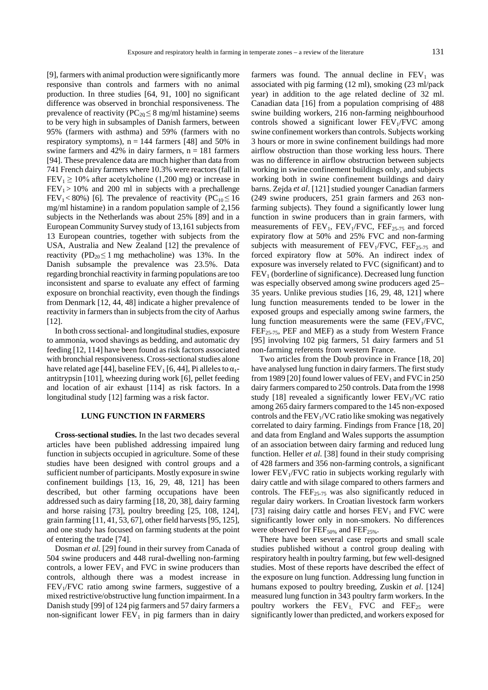[9], farmers with animal production were significantly more responsive than controls and farmers with no animal production. In three studies [64, 91, 100] no significant difference was observed in bronchial responsiveness. The prevalence of reactivity ( $PC_{20} \leq 8$  mg/ml histamine) seems prevalence of reactivity ( $PC_{20} \leq 8$  mg/ml histamine) seems to be very high in subsamples of Danish farmers, between 95% (farmers with asthma) and 59% (farmers with no respiratory symptoms),  $n = 144$  farmers [48] and 50% in swine farmers and 42% in dairy farmers,  $n = 181$  farmers [94]. These prevalence data are much higher than data from 741 French dairy farmers where 10.3% were reactors (fall in  $FEV_1 \ge 10\%$  after acetylcholine (1,200 mg) or increase in  $FEV<sub>1</sub> > 10%$  and 200 ml in subjects with a prechallenge FEV<sub>1</sub> < 80%) [6]. The prevalence of reactivity (PC<sub>10</sub>  $\leq$  16 mg/ml histamine) in a random population sample of 2,156 subjects in the Netherlands was about 25% [89] and in a European Community Survey study of 13,161 subjects from 13 European countries, together with subjects from the USA, Australia and New Zealand [12] the prevalence of reactivity (PD<sub>20</sub> $\leq$  1 mg methacholine) was 13%. In the Danish subsample the prevalence was 23.5%. Data regarding bronchial reactivity in farming populations are too inconsistent and sparse to evaluate any effect of farming exposure on bronchial reactivity, even though the findings from Denmark [12, 44, 48] indicate a higher prevalence of reactivity in farmers than in subjects from the city of Aarhus [12].

In both cross sectional- and longitudinal studies, exposure to ammonia, wood shavings as bedding, and automatic dry feeding [12, 114] have been found as risk factors associated with bronchial responsiveness. Cross-sectional studies alone have related age [44], baseline FEV<sub>1</sub> [6, 44], Pi alleles to  $\alpha_1$ antitrypsin [101], wheezing during work [6], pellet feeding and location of air exhaust [114] as risk factors. In a longitudinal study [12] farming was a risk factor.

#### **LUNG FUNCTION IN FARMERS**

**Cross-sectional studies.** In the last two decades several articles have been published addressing impaired lung function in subjects occupied in agriculture. Some of these studies have been designed with control groups and a sufficient number of participants. Mostly exposure in swine confinement buildings [13, 16, 29, 48, 121] has been described, but other farming occupations have been addressed such as dairy farming [18, 20, 38], dairy farming and horse raising [73], poultry breeding [25, 108, 124], grain farming [11, 41, 53, 67], other field harvests [95, 125], and one study has focused on farming students at the point of entering the trade [74].

Dosman *et al.* [29] found in their survey from Canada of 504 swine producers and 448 rural-dwelling non-farming controls, a lower  $FEV<sub>1</sub>$  and  $FVC$  in swine producers than controls, although there was a modest increase in  $FEV<sub>1</sub>/FVC$  ratio among swine farmers, suggestive of a mixed restrictive/obstructive lung function impairment. In a Danish study [99] of 124 pig farmers and 57 dairy farmers a non-significant lower  $FEV<sub>1</sub>$  in pig farmers than in dairy

farmers was found. The annual decline in  $FEV<sub>1</sub>$  was associated with pig farming (12 ml), smoking (23 ml/pack year) in addition to the age related decline of 32 ml. Canadian data [16] from a population comprising of 488 swine building workers, 216 non-farming neighbourhood controls showed a significant lower  $FEV<sub>1</sub>/FVC$  among swine confinement workers than controls. Subjects working 3 hours or more in swine confinement buildings had more airflow obstruction than those working less hours. There was no difference in airflow obstruction between subjects working in swine confinement buildings only, and subjects working both in swine confinement buildings and dairy barns. Zejda *et al*. [121] studied younger Canadian farmers (249 swine producers, 251 grain farmers and 263 nonfarming subjects). They found a significantly lower lung function in swine producers than in grain farmers, with measurements of  $FEV_1$ ,  $FEV_1/FVC$ ,  $FEF_{25-75}$  and forced expiratory flow at 50% and 25% FVC and non-farming subjects with measurement of  $FEV_1/FVC$ ,  $FEF_{25-75}$  and forced expiratory flow at 50%. An indirect index of exposure was inversely related to FVC (significant) and to  $FEV<sub>1</sub>$  (borderline of significance). Decreased lung function was especially observed among swine producers aged 25– 35 years. Unlike previous studies [16, 29, 48, 121] where lung function measurements tended to be lower in the exposed groups and especially among swine farmers, the lung function measurements were the same  $(FEV_1/FVC)$ , FEF<sub>25-75</sub>, PEF and MEF) as a study from Western France [95] involving 102 pig farmers, 51 dairy farmers and 51 non-farming referents from western France.

Two articles from the Doub province in France [18, 20] have analysed lung function in dairy farmers. The first study from 1989 [20] found lower values of  $FEV_1$  and  $FVC$  in 250 dairy farmers compared to 250 controls. Data from the 1998 study [18] revealed a significantly lower  $FEV<sub>1</sub>/VC$  ratio among 265 dairy farmers compared to the 145 non-exposed controls and the  $FEV<sub>1</sub>/VC$  ratio like smoking was negatively correlated to dairy farming. Findings from France [18, 20] and data from England and Wales supports the assumption of an association between dairy farming and reduced lung function. Heller *et al*. [38] found in their study comprising of 428 farmers and 356 non-farming controls, a significant lower  $FEV<sub>1</sub>/FVC$  ratio in subjects working regularly with dairy cattle and with silage compared to others farmers and controls. The  $\overline{FEF}_{25-75}$  was also significantly reduced in regular dairy workers. In Croatian livestock farm workers [73] raising dairy cattle and horses  $FEV<sub>1</sub>$  and  $FVC$  were significantly lower only in non-smokers. No differences were observed for  $\text{FEF}_{50\%}$  and  $\text{FEF}_{25\%}$ .

There have been several case reports and small scale studies published without a control group dealing with respiratory health in poultry farming, but few well-designed studies. Most of these reports have described the effect of the exposure on lung function. Addressing lung function in humans exposed to poultry breeding, Zuskin *et al*. [124] measured lung function in 343 poultry farm workers. In the poultry workers the  $FEV_1$  FVC and  $FEF_{25}$  were significantly lower than predicted, and workers exposed for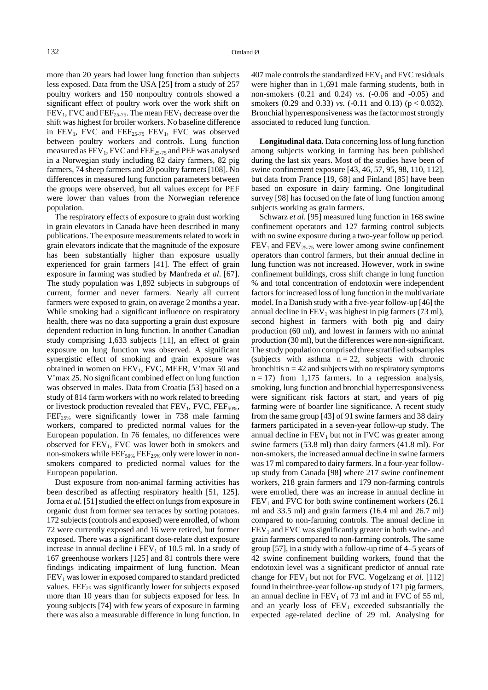more than 20 years had lower lung function than subjects less exposed. Data from the USA [25] from a study of 257 poultry workers and 150 nonpoultry controls showed a significant effect of poultry work over the work shift on  $FEV<sub>1</sub>$ , FVC and  $FEF<sub>25-75</sub>$ . The mean  $FEV<sub>1</sub>$  decrease over the shift was highest for broiler workers. No baseline difference in  $FEV_1$ , FVC and  $FEF_{25-75}$   $FEV_1$ , FVC was observed between poultry workers and controls. Lung function measured as  $FEV_1$ , FVC and  $FEF_{25-75}$  and PEF was analysed in a Norwegian study including 82 dairy farmers, 82 pig farmers, 74 sheep farmers and 20 poultry farmers [108]. No differences in measured lung function parameters between the groups were observed, but all values except for PEF were lower than values from the Norwegian reference population.

The respiratory effects of exposure to grain dust working in grain elevators in Canada have been described in many publications. The exposure measurements related to work in grain elevators indicate that the magnitude of the exposure has been substantially higher than exposure usually experienced for grain farmers [41]. The effect of grain exposure in farming was studied by Manfreda *et al*. [67]. The study population was 1,892 subjects in subgroups of current, former and never farmers. Nearly all current farmers were exposed to grain, on average 2 months a year. While smoking had a significant influence on respiratory health, there was no data supporting a grain dust exposure dependent reduction in lung function. In another Canadian study comprising 1,633 subjects [11], an effect of grain exposure on lung function was observed. A significant synergistic effect of smoking and grain exposure was obtained in women on  $FEV_1$ , FVC, MEFR, V'max 50 and V'max 25. No significant combined effect on lung function was observed in males. Data from Croatia [53] based on a study of 814 farm workers with no work related to breeding or livestock production revealed that  $FEV_1$ ,  $FVC$ ,  $FEF_{50\%}$ ,  $FEF<sub>25%</sub>$  were significantly lower in 738 male farming workers, compared to predicted normal values for the European population. In 76 females, no differences were observed for  $FEV<sub>1</sub>$ , FVC was lower both in smokers and non-smokers while  $\text{FEF}_{50\%}$   $\text{FEF}_{25\%}$  only were lower in nonsmokers compared to predicted normal values for the European population.

Dust exposure from non-animal farming activities has been described as affecting respiratory health [51, 125]. Jorna *et al.* [51] studied the effect on lungs from exposure in organic dust from former sea terraces by sorting potatoes. 172 subjects (controls and exposed) were enrolled, of whom 72 were currently exposed and 16 were retired, but former exposed. There was a significant dose-relate dust exposure increase in annual decline i  $FEV<sub>1</sub>$  of 10.5 ml. In a study of 167 greenhouse workers [125] and 81 controls there were findings indicating impairment of lung function. Mean  $FEV<sub>1</sub>$  was lower in exposed compared to standard predicted values.  $FEF_{25}$  was significantly lower for subjects exposed more than 10 years than for subjects exposed for less. In young subjects [74] with few years of exposure in farming there was also a measurable difference in lung function. In  $407$  male controls the standardized  $FEV<sub>1</sub>$  and  $FVC$  residuals were higher than in 1,691 male farming students, both in non-smokers (0.21 and 0.24) *vs.* (-0.06 and -0.05) and smokers (0.29 and 0.33) *vs.* (-0.11 and 0.13) ( $p < 0.032$ ). Bronchial hyperresponsiveness was the factor most strongly associated to reduced lung function.

**Longitudinal data.** Data concerning loss of lung function among subjects working in farming has been published during the last six years. Most of the studies have been of swine confinement exposure [43, 46, 57, 95, 98, 110, 112], but data from France [19, 68] and Finland [85] have been based on exposure in dairy farming. One longitudinal survey [98] has focused on the fate of lung function among subjects working as grain farmers.

Schwarz *et al*. [95] measured lung function in 168 swine confinement operators and 127 farming control subjects with no swine exposure during a two-year follow up period.  $FEV<sub>1</sub>$  and  $FEV<sub>25-75</sub>$  were lower among swine confinement operators than control farmers, but their annual decline in lung function was not increased. However, work in swine confinement buildings, cross shift change in lung function % and total concentration of endotoxin were independent factors for increased loss of lung function in the multivariate model. In a Danish study with a five-year follow-up [46] the annual decline in  $FEV_1$  was highest in pig farmers (73 ml), second highest in farmers with both pig and dairy production (60 ml), and lowest in farmers with no animal production (30 ml), but the differences were non-significant. The study population comprised three stratified subsamples (subjects with asthma  $n = 22$ , subjects with chronic bronchitis  $n = 42$  and subjects with no respiratory symptoms  $n = 17$ ) from 1,175 farmers. In a regression analysis, smoking, lung function and bronchial hyperresponsiveness were significant risk factors at start, and years of pig farming were of boarder line significance. A recent study from the same group [43] of 91 swine farmers and 38 dairy farmers participated in a seven-year follow-up study. The annual decline in  $FEV<sub>1</sub>$  but not in  $FVC$  was greater among swine farmers (53.8 ml) than dairy farmers (41.8 ml). For non-smokers, the increased annual decline in swine farmers was 17 ml compared to dairy farmers. In a four-year followup study from Canada [98] where 217 swine confinement workers, 218 grain farmers and 179 non-farming controls were enrolled, there was an increase in annual decline in  $FEV<sub>1</sub>$  and FVC for both swine confinement workers (26.1) ml and 33.5 ml) and grain farmers (16.4 ml and 26.7 ml) compared to non-farming controls. The annual decline in  $FEV<sub>1</sub>$  and FVC was significantly greater in both swine- and grain farmers compared to non-farming controls. The same group [57], in a study with a follow-up time of 4–5 years of 42 swine confinement building workers, found that the endotoxin level was a significant predictor of annual rate change for FEV<sub>1</sub> but not for FVC. Vogelzang et al. [112] found in their three-year follow-up study of 171 pig farmers, an annual decline in  $FEV_1$  of 73 ml and in FVC of 55 ml, and an yearly loss of  $FEV<sub>1</sub>$  exceeded substantially the expected age-related decline of 29 ml. Analysing for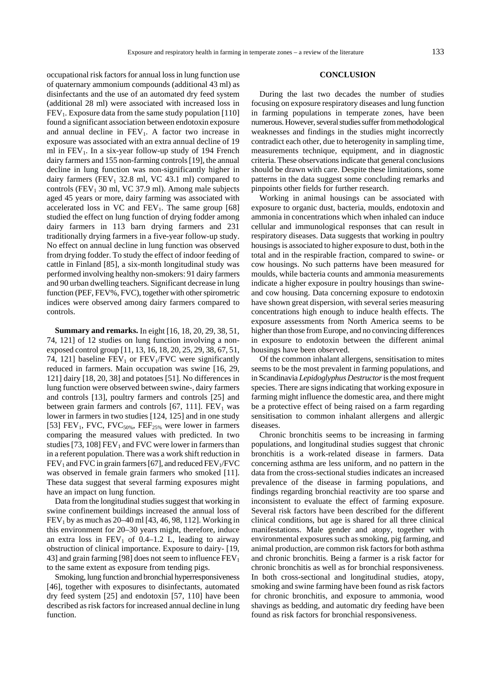occupational risk factors for annual loss in lung function use of quaternary ammonium compounds (additional 43 ml) as disinfectants and the use of an automated dry feed system (additional 28 ml) were associated with increased loss in  $FEV<sub>1</sub>$ . Exposure data from the same study population [110] found a significant association between endotoxin exposure and annual decline in  $FEV<sub>1</sub>$ . A factor two increase in exposure was associated with an extra annual decline of 19 ml in  $FEV<sub>1</sub>$ . In a six-year follow-up study of 194 French dairy farmers and 155 non-farming controls [19], the annual decline in lung function was non-significantly higher in dairy farmers (FEV<sub>1</sub> 32.8 ml, VC 43.1 ml) compared to controls (FEV<sub>1</sub> 30 ml, VC 37.9 ml). Among male subjects aged 45 years or more, dairy farming was associated with accelerated loss in VC and  $FEV_1$ . The same group [68] studied the effect on lung function of drying fodder among dairy farmers in 113 barn drying farmers and 231 traditionally drying farmers in a five-year follow-up study. No effect on annual decline in lung function was observed from drying fodder. To study the effect of indoor feeding of cattle in Finland [85], a six-month longitudinal study was performed involving healthy non-smokers: 91 dairy farmers and 90 urban dwelling teachers. Significant decrease in lung function (PEF, FEV%, FVC), together with other spirometric indices were observed among dairy farmers compared to controls.

**Summary and remarks.** In eight [16, 18, 20, 29, 38, 51, 74, 121] of 12 studies on lung function involving a nonexposed control group [11, 13, 16, 18, 20, 25, 29, 38, 67, 51, 74, 121] baseline  $FEV<sub>1</sub>$  or  $FEV<sub>1</sub>/FVC$  were significantly reduced in farmers. Main occupation was swine [16, 29, 121] dairy [18, 20, 38] and potatoes [51]. No differences in lung function were observed between swine-, dairy farmers and controls [13], poultry farmers and controls [25] and between grain farmers and controls  $[67, 111]$ .  $FEV<sub>1</sub>$  was lower in farmers in two studies [124, 125] and in one study [53] FEV<sub>1</sub>, FVC, FVC<sub>50%</sub>, FEF<sub>25%</sub> were lower in farmers comparing the measured values with predicted. In two studies [73, 108]  $FEV<sub>1</sub>$  and FVC were lower in farmers than in a referent population. There was a work shift reduction in  $FEV<sub>1</sub>$  and FVC in grain farmers [67], and reduced  $FEV<sub>1</sub>/FVC$ was observed in female grain farmers who smoked [11]. These data suggest that several farming exposures might have an impact on lung function.

Data from the longitudinal studies suggest that working in swine confinement buildings increased the annual loss of  $FEV<sub>1</sub>$  by as much as 20–40 ml [43, 46, 98, 112]. Working in this environment for 20–30 years might, therefore, induce an extra loss in  $FEV_1$  of 0.4–1.2 L, leading to airway obstruction of clinical importance. Exposure to dairy- [19, 43] and grain farming [98] does not seem to influence  $FEV<sub>1</sub>$ to the same extent as exposure from tending pigs.

Smoking, lung function and bronchial hyperresponsiveness [46], together with exposures to disinfectants, automated dry feed system [25] and endotoxin [57, 110] have been described as risk factors for increased annual decline in lung function.

#### **CONCLUSION**

During the last two decades the number of studies focusing on exposure respiratory diseases and lung function in farming populations in temperate zones, have been numerous. However, several studies suffer from methodological weaknesses and findings in the studies might incorrectly contradict each other, due to heterogenity in sampling time, measurements technique, equipment, and in diagnostic criteria. These observations indicate that general conclusions should be drawn with care. Despite these limitations, some patterns in the data suggest some concluding remarks and pinpoints other fields for further research.

Working in animal housings can be associated with exposure to organic dust, bacteria, moulds, endotoxin and ammonia in concentrations which when inhaled can induce cellular and immunological responses that can result in respiratory diseases. Data suggests that working in poultry housings is associated to higher exposure to dust, both in the total and in the respirable fraction, compared to swine- or cow housings. No such patterns have been measured for moulds, while bacteria counts and ammonia measurements indicate a higher exposure in poultry housings than swineand cow housing. Data concerning exposure to endotoxin have shown great dispersion, with several series measuring concentrations high enough to induce health effects. The exposure assessments from North America seems to be higher than those from Europe, and no convincing differences in exposure to endotoxin between the different animal housings have been observed.

Of the common inhalant allergens, sensitisation to mites seems to be the most prevalent in farming populations, and in Scandinavia *Lepidoglyphus Destructor* is the most frequent species. There are signs indicating that working exposure in farming might influence the domestic area, and there might be a protective effect of being raised on a farm regarding sensitisation to common inhalant allergens and allergic diseases.

Chronic bronchitis seems to be increasing in farming populations, and longitudinal studies suggest that chronic bronchitis is a work-related disease in farmers. Data concerning asthma are less uniform, and no pattern in the data from the cross-sectional studies indicates an increased prevalence of the disease in farming populations, and findings regarding bronchial reactivity are too sparse and inconsistent to evaluate the effect of farming exposure. Several risk factors have been described for the different clinical conditions, but age is shared for all three clinical manifestations. Male gender and atopy, together with environmental exposures such as smoking, pig farming, and animal production, are common risk factors for both asthma and chronic bronchitis. Being a farmer is a risk factor for chronic bronchitis as well as for bronchial responsiveness. In both cross-sectional and longitudinal studies, atopy, smoking and swine farming have been found as risk factors for chronic bronchitis, and exposure to ammonia, wood shavings as bedding, and automatic dry feeding have been found as risk factors for bronchial responsiveness.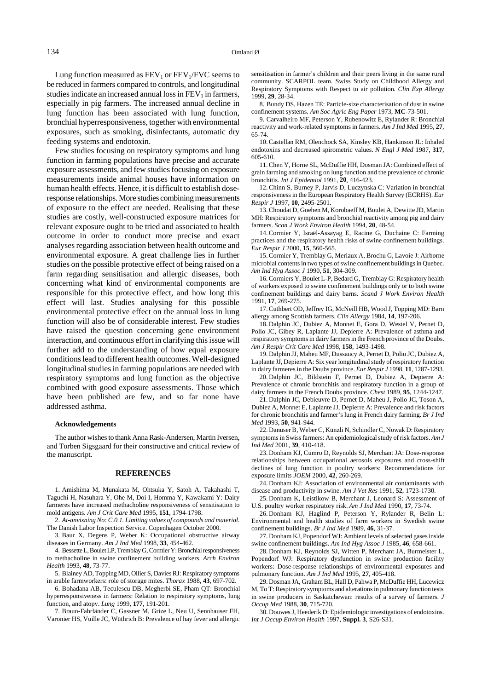Lung function measured as  $FEV<sub>1</sub>$  or  $FEV<sub>1</sub>/FVC$  seems to be reduced in farmers compared to controls, and longitudinal studies indicate an increased annual loss in  $FEV<sub>1</sub>$  in farmers, especially in pig farmers. The increased annual decline in lung function has been associated with lung function, bronchial hyperresponsiveness, together with environmental exposures, such as smoking, disinfectants, automatic dry feeding systems and endotoxin.

Few studies focusing on respiratory symptoms and lung function in farming populations have precise and accurate exposure assessments, and few studies focusing on exposure measurements inside animal houses have information on human health effects. Hence, it is difficult to establish doseresponse relationships. More studies combining measurements of exposure to the effect are needed. Realising that these studies are costly, well-constructed exposure matrices for relevant exposure ought to be tried and associated to health outcome in order to conduct more precise and exact analyses regarding association between health outcome and environmental exposure. A great challenge lies in further studies on the possible protective effect of being raised on a farm regarding sensitisation and allergic diseases, both concerning what kind of environmental components are responsible for this protective effect, and how long this effect will last. Studies analysing for this possible environmental protective effect on the annual loss in lung function will also be of considerable interest. Few studies have raised the question concerning gene environment interaction, and continuous effort in clarifying this issue will further add to the understanding of how equal exposure conditions lead to different health outcomes. Well-designed longitudinal studies in farming populations are needed with respiratory symptoms and lung function as the objective combined with good exposure assessments. Those which have been published are few, and so far none have addressed asthma.

#### **Acknowledgements**

The author wishes to thank Anna Rask-Andersen, Martin Iversen, and Torben Sigsgaard for their constructive and critical review of the manuscript.

#### **REFERENCES**

1. Amishima M, Munakata M, Ohtsuka Y, Satoh A, Takahashi T, Taguchi H, Nasuhara Y, Ohe M, Doi I, Homma Y, Kawakami Y: Dairy farmeres have increased methacholine responsiveness of sensitisation to mold antigens. *Am J Crit Care Med* 1995, **151**, 1794-1798.

2. *At-anvisning No: C.0.1. Limiting values of compounds and material*. The Danish Labor Inspection Service. Copenhagen October 2000.

3. Baur X, Degens P, Weber K: Occupational obstructive airway diseases in Germany. *Am J Ind Med* 1998, **33**, 454-462.

4. Bessette L, Boulet LP, Tremblay G, Cormier Y: Bronchial responsiveness to methacholine in swine confinement building workers. *Arch Environ Health* 1993, **48**, 73-77.

5. Blainey AD, Topping MD, Ollier S, Davies RJ: Respiratory symptoms in arable farmworkers: role of storage mites. *Thorax* 1988, **43**, 697-702.

6. Bohadana AB, Teculescu DB, Megherbi SE, Pham QT: Bronchial hyperresponsiveness in farmers: Relation to respiratory symptoms, lung function, and atopy. *Lung* 1999, **177**, 191-201.

7. Braun-Fahrländer C, Gassner M, Grize L, Neu U, Sennhauser FH, Varonier HS, Vuille JC, Wüthrich B: Prevalence of hay fever and allergic sensitisation in farmer's children and their peers living in the same rural community. SCARPOL team. Swiss Study on Childhood Allergy and Respiratory Symptoms with Respect to air pollution*. Clin Exp Allergy* 1999, **29**, 28-34.

8. Bundy DS, Hazen TE: Particle-size characterisation of dust in swine confinement systems. *Am Soc Agric Eng Paper* 1973, **MC**-73-501.

9. Carvalheiro MF, Peterson Y, Rubenowitz E, Rylander R: Bronchial reactivity and work-related symptoms in farmers. *Am J Ind Med* 1995, **27**, 65-74.

10. Castellan RM, Olenchock SA, Kinsley KB, Hankinson JL: Inhaled endotoxins and decreased spirometric values. *N Engl J Med* 1987, **317**, 605-610.

11. Chen Y, Horne SL, McDuffie HH, Dosman JA: Combined effect of grain farming and smoking on lung function and the prevalence of chronic bronchitis. *Int J Epidemiol* 1991, **20**, 416-423.

12. Chinn S, Burney P, Jarvis D, Luczynska C: Variation in bronchial responsiveness in the European Respiratory Health Survey (ECRHS). *Eur Respir J* 1997, **10**, 2495-2501.

13. Choudat D, Goehen M, Korobaeff M, Boulet A, Dewitte JD, Martin MH: Respiratory symptoms and bronchial reactivity among pig and dairy farmers. *Scan J Work Environ Health* 1994, **20**, 48-54.

14. Cormier Y, Israël-Assayag E, Racine G, Duchaine C: Farming practices and the respiratory health risks of swine confinement buildings. *Eur Respir J* 2000, **15**, 560-565.

15. Cormier Y, Tremblay G, Meriaux A, Brochu G, Lavoie J: Airborne microbial contents in two types of swine confinement buildings in Quebec. *Am Ind Hyg Assoc J* 1990, **51**, 304-309.

16. Cormiers Y, Boulet L-P, Bedard G, Tremblay G: Respiratory health of workers exposed to swine confinement buildings only or to both swine confinement buildings and dairy barns. *Scand J Work Environ Health* 1991, **17**, 269-275.

17. Cuthbert OD, Jeffrey IG, McNeill HB, Wood J, Topping MD: Barn allergy among Scottish farmers. *Clin Allergy* 1984, **14**, 197-206.

18. Dalphin JC, Dubiez A, Monnet E, Gora D, Westel V, Pernet D, Polio JC, Gibey R, Laplante JJ, Depierre A: Prevalence of asthma and respiratory symptoms in dairy farmers in the French province of the Doubs. *Am J Respir Crit Care Med* 1998, **158**, 1493-1498.

19. Dalphin JJ, Maheu MF, Dussaucy A, Pernet D, Polio JC, Dubiez A, Laplante JJ, Depierre A: Six year longitudinal study of respiratory function in dairy farmeres in the Doubs province. *Eur Respir J* 1998, **11**, 1287-1293.

20. Dalphin JC, Bildstein F, Pernet D, Dubiez A, Depierre A: Prevalence of chronic bronchitis and respiratory function in a group of dairy farmers in the French Doubs province. *Chest* 1989, **95**, 1244-1247.

21. Dalphin JC, Debieuvre D, Pernet D, Maheu J, Polio JC, Toson A, Dubiez A, Monnet E, Laplante JJ, Depierre A: Prevalence and risk factors for chronic bronchitis and farmer's lung in French dairy farming. *Br J Ind Med* 1993, **50**, 941-944.

22. Danuser B, Weber C, Künzli N, Schindler C, Nowak D: Respiratory symptoms in Swiss farmers: An epidemiological study of risk factors. *Am J Ind Med* 2001, **39**, 410-418.

23. Donham KJ, Cumro D, Reynolds SJ, Merchant JA: Dose-response relationships between occupational aerosols exposures and cross-shift declines of lung function in poultry workers: Recommendations for exposure limits *JOEM* 2000, **42**, 260-269.

24. Donham KJ: Association of environmental air contaminants with disease and productivity in swine. *Am J Vet Res* 1991, **52**, 1723-1730.

25. Donham K, Leistikow B, Merchant J, Leonard S: Assessment of U.S. poultry worker respiratory risk. *Am J Ind Med* 1990, **17**, 73-74.

26. Donham KJ, Haglind P, Peterson Y, Rylander R, Belin L: Environmental and health studies of farm workers in Swedish swine confinement buildings. *Br J Ind Med* 1989, **46**, 31-37.

27. Donham KJ, Popendorf WJ: Ambient levels of selected gases inside swine confinement buildings. *Am Ind Hyg Assoc J* 1985, **46**, 658-661.

28. Donham KJ, Reynolds SJ, Witten P, Merchant JA, Burmeister L, Popendorf WJ: Respiratory dysfunction in swine production facility workers: Dose-response relationships of environmental exposures and pulmonary function. *Am J Ind Med* 1995, **27**, 405-418.

29. Dosman JA, Graham BL, Hall D, Pahwa P, McDuffie HH, Lucewicz M, To T: Respiratory symptoms and alterations in pulmonary function tests in swine producers in Saskatchewan: results of a survey of farmers. *J Occup Med* 1988, **30**, 715-720.

30. Douwes J, Heederik D: Epidemiologic investigations of endotoxins. *Int J Occup Environ Health* 1997, **Suppl. 3**, S26-S31.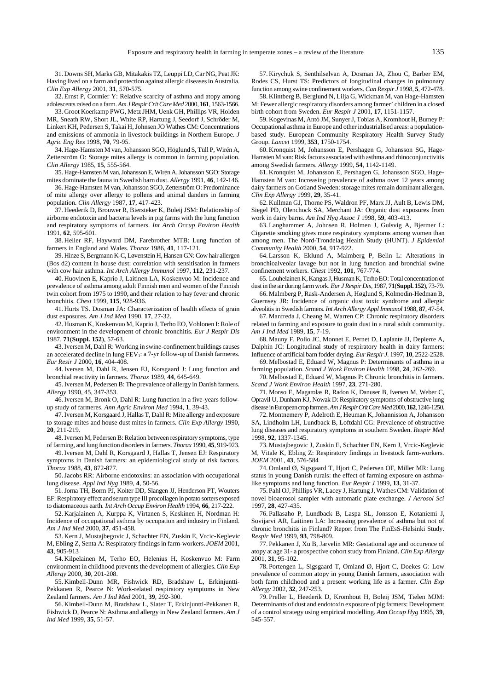31. Downs SH, Marks GB, Mitakakis TZ, Leuppi LD, Car NG, Peat JK: Having lived on a farm and protection against allergic diseases in Australia. *Clin Exp Allergy* 2001, **31**, 570-575.

32. Ernst P, Cormier Y: Relative scarcity of asthma and atopy among adolescents raised on a farm. *AmJ Respir Crit Care Med* 2000, **161**, 1563-1566.

33. Groot Koerkamp PWG, Metz JHM, Uenk GH, Phillips VR, Holden MR, Sneath RW, Short JL, White RP, Hartung J, Seedorf J, Schröder M, Linkert KH, Pedersen S, Takai H, Johnsen JO Wathes CM: Concentrations and emissions of ammonia in livestock buildings in Northern Europe. *J Agric Eng Res* 1998, **70**, 79-95.

34. Hage-Hamsten M van, Johansson SGO, Höglund S, Tüll P, Wirén A, Zetterström O: Storage mites allergy is common in farming population. *Clin Allergy* 1985, **15**, 555-564.

35. Hage-Hamsten M van, Johansson E, Wirén A, Johansson SGO: Storage mites dominate the fauna in Swedish barn dust. *Allergy* 1991, **46**, 142-146.

36. Hage-Hamsten M van, Johansson SGO, Zetterström O: Predominance of mite allergy over allergy to pollens and animal danders in farming population. *Clin Allergy* 1987, **17**, 417-423.

37. Heederik D, Brouwer R, Biersteker K, Boleij JSM: Relationship of airborne endotoxin and bacteria levels in pig farms with the lung function and respiratory symptoms of farmers. *Int Arch Occup Environ Health* 1991, **62**, 595-601.

38. Heller RF, Hayward DM, Farebrother MTB: Lung function of farmers in England and Wales. *Thorax* 1986, **41**, 117-121.

39. Hinze S, Bergmann K-C, Løvenstein H, Hansen GN: Cow hair allergen (Bos d2) content in house dust: correlation with sensitisation in farmers with cow hair asthma. *Int Arch Allergy Immunol* 1997, **112**, 231-237.

40. Huovinen E, Kaprio J, Laitinen LA, Koskenvuo M: Incidence and prevalence of asthma among adult Finnish men and women of the Finnish twin cohort from 1975 to 1990, and their relation to hay fever and chronic bronchitis. *Chest* 1999, **115**, 928-936.

41. Hurts TS. Dosman JA: Characterization of health effects of grain dust exposures. *Am J Ind Med* 1990, **17**, 27-32.

42. Husman K, Koskenvuo M, Kaprio J, Terho EO, Vohlonen I: Role of environment in the development of chronic bronchitis. *Eur J Respir Dis*  1987, **71**(**Suppl. 152**), 57-63.

43. Iversen M, Dahl R: Working in swine-confinement buildings causes an accelerated decline in lung  $FEV<sub>1</sub>$ : a 7-yr follow-up of Danish farmeres. *Eur Resir J* 2000, **16**, 404-408.

44. Iversen M, Dahl R, Jensen EJ, Korsgaard J: Lung function and bronchial reactivity in farmers. *Thorax* 1989, **44**, 645-649.

45. Iversen M, Pedersen B: The prevalence of allergy in Danish farmers. *Allergy* 1990, 45, 347-353.

46. Iversen M, Bronk O, Dahl R: Lung function in a five-years followup study of farmeres. *Ann Agric Environ Med* 1994, **1**, 39-43.

47. Iversen M, Korsgaard J, Hallas T, Dahl R: Mite allergy and exposure to storage mites and house dust mites in farmers. *Clin Exp Allergy* 1990, **20**, 211-219.

48. Iversen M, Pedersen B: Relation between respiratory symptoms, type of farming, and lung function disorders in farmers. *Thorax* 1990, **45**, 919-923.

49. Iversen M, Dahl R, Korsgaard J, Hallas T, Jensen EJ: Respiratory symptoms in Danish farmers: an epidemiological study of risk factors. *Thorax* 1988, **43**, 872-877.

50. Jacobs RR: Airborne endotoxins: an association with occupational lung disease. *Appl Ind Hyg* 1989, **4**, 50-56.

51. Jorna TH, Borm PJ, Koiter DD, Slangen JJ, Henderson PT, Wouters EF: Respiratory effect and serum type III procollagen in potato sorters exposed to diatomaceous earth. *Int Arch Occup Environ Health* 1994, **66**, 217-222.

52. Karjalainen A, Kurppa K, Virtanen S, Keskinen H, Nordman H: Incidence of occupational asthma by occupation and industry in Finland. *Am J Ind Med* 2000, **37**, 451-458.

53. Kern J, Mustajbegovic J, Schachter EN, Zuskin E, Vrcic-Keglevic M, Ebling Z, Senta A: Respiratory findings in farm-workers. *JOEM* 2001, **43**, 905-913

54. Kilpelainen M, Terho EO, Helenius H, Koskenvuo M: Farm environment in childhood prevents the development of allergies. *Clin Exp Allergy* 2000, **30**, 201-208.

55. Kimbell-Dunn MR, Fishwick RD, Bradshaw L, Erkinjuntti-Pekkanen R, Pearce N: Work-related respiratory symptoms in New Zealand farmers. *Am J Ind Med* 2001, **39**, 292-300.

56. Kimbell-Dunn M, Bradshaw L, Slater T, Erkinjuntti-Pekkanen R, Fishwick D, Pearce N: Asthma and allergy in New Zealand farmers. *Am J Ind Med* 1999, **35**, 51-57.

57. Kirychuk S, Senthilselvan A, Dosman JA, Zhou C, Barber EM, Rodes CS, Hurst TS: Predictors of longitudinal changes in pulmonary function among swine confinement workers. *Can Respir J* 1998, **5**, 472-478.

58. Klintberg B, Berglund N, Lilja G, Wickman M, van Hage-Hamsten M: Fewer allergic respiratory disorders among farmer' children in a closed birth cohort from Sweden. *Eur Respir J* 2001, **17**, 1151-1157.

59. Kogevinas M, Antó JM, Sunyer J, Tobias A, Kromhout H, Burney P: Occupational asthma in Europe and other industrialised areas: a populationbased study. European Community Respiratory Health Survey Study Group. *Lancet* 1999, **353**, 1750-1754.

60. Kronquist M, Johansson E, Pershagen G, Johansson SG, Hage-Hamsten M van: Risk factors associated with asthma and rhinoconjunctivitis among Swedish farmers. *Allergy* 1999, **54**, 1142-1149.

61. Kronquist M, Johansson E, Pershagen G, Johansson SGO, Hage-Hamsten M van: Increasing prevalence of asthma over 12 years among dairy farmers on Gotland Sweden: storage mites remain dominant allergen. *Clin Exp Allergy* 1999, **29**, 35-41.

62. Kullman GJ, Thorne PS, Waldron PF, Marx JJ, Ault B, Lewis DM, Siegel PD, Olenchock SA, Merchant JA: Organic dust exposures from work in dairy barns. *Am Ind Hyg Assoc J* 1998, **59**, 403-413.

63. Langhammer A, Johnsen R, Holmen J, Gulsvig A, Bjermer L: Cigarette smoking gives more respiratory symptoms among women than among men. The Nord-Trondelag Health Study (HUNT). *J Epidemiol Community Health* 2000, **54**, 917-922.

64. Larsson K, Eklund A, Malmberg P, Belin L: Alterations in bronchioalveolar lavage but not in lung function and bronchial swine confinement workers. *Chest* 1992, **101**, 767-774.

65. Louhelainen K, Kangas J, Husman K, Terho EO: Total concentration of dust in the air during farm work. *Eur J Respir Dis*, 1987, **71**(**Suppl. 152**), 73-79.

66. Malmberg P, Rask-Andersen A, Høglund S, Kolmodin-Hedman B, Guernsey JR: Incidence of organic dust toxic syndrome and allergic alveolitis in Swedish farmers. *Int Arch Allergy Appl Immunol* 1988, **87**, 47-54.

67. Manfreda J, Cheang M, Warren CP: Chronic respiratory disorders related to farming and exposure to grain dust in a rural adult community. *Am J Ind Med* 1989, **15**, 7-19.

68. Mauny F, Polio JC, Monnet E, Pernet D, Laplante JJ, Depierre A, Dalphin JC: Longitudinal study of respiratory health in dairy farmers: Influence of artificial barn fodder drying. *Eur Respir J.* 1997, **10**, 2522-2528.

69. Melbostad E, Eduard W, Magnus P: Determinants of asthma in a farming population. *Scand J Work Environ Health* 1998, **24**, 262-269.

70. Melbostad E, Eduard W, Magnus P: Chronic bronchitis in farmers. *Scand J Work Environ Health* 1997, **23**, 271-280.

71. Monso E, Magarolas R, Radon K, Danuser B, Iversen M, Weber C, Opravil U, Dunham KJ, Nowak D: Respiratory symptoms of obstructive lung disease in European crop farmers. *Am J Respir Crit Care Med* 2000, **162**, 1246-1250.

72. Montnemery P, Adelroth E, Heuman K, Johannisson A, Johansson SA, Lindholm LH, Lundback B, Loftdahl CG: Prevalence of obstructive lung diseases and respiratory symptoms in southern Sweden. *Respir Med* 1998, **92**, 1337-1345.

73. Mustajbegovic J, Zuskin E, Schachter EN, Kern J, Vrcic-Keglevic M, Vitale K, Ebling Z: Respiratory findings in livestock farm-workers. *JOEM* 2001, **43**, 576-584

74. Omland Ø, Sigsgaard T, Hjort C, Pedersen OF, Miller MR: Lung status in young Danish rurals: the effect of farming exposure on asthmalike symptoms and lung function. *Eur Respir J* 1999, **13**, 31-37.

75. Pahl OJ, Phillips VR, Lacey J, Hartung J, Wathes CM: Validation of novel bioaerosol sampler with automatic plate exchange. *J Aerosol Sci* 1997, **28**, 427-435.

76. Pallasaho P, Lundback B, Laspa SL, Jonsson E, Kotaniemi J, Sovijarvi AR, Laitinen LA: Increasing prevalence of asthma but not of chronic bronchitis in Finland? Report from The FinEsS-Helsinki Study. *Respir Med* 1999, **93**, 798-809.

77. Pekkanen J, Xu B, Jarvelin MR: Gestational age and occurence of atopy at age 31- a prospective cohort study from Finland. *Clin Exp Allergy* 2001, **31**, 95-102.

78. Portengen L, Sigsgaard T, Omland Ø, Hjort C, Doekes G: Low prevalence of common atopy in young Danish farmers, association with both farm childhood and a present working life as a farmer. *Clin Exp Allergy* 2002, **32**, 247-253.

79. Preller L, Heederik D, Kromhout H, Boleij JSM, Tielen MJM: Determinants of dust and endotoxin exposure of pig farmers: Development of a control strategy using empirical modelling. *Ann Occup Hyg* 1995, **39**, 545-557.